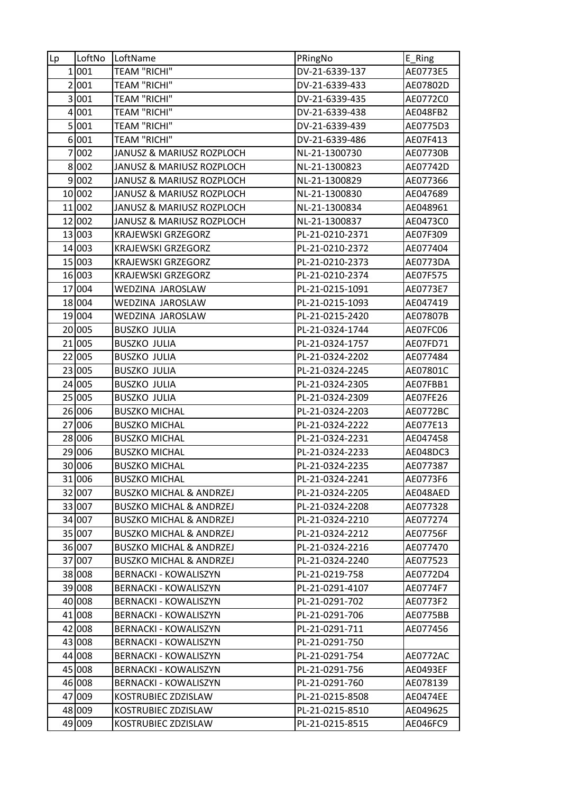| Lp        | LoftNo | LoftName                           | PRingNo         | $E_R$ ing |
|-----------|--------|------------------------------------|-----------------|-----------|
|           | 1 001  | <b>TEAM "RICHI"</b>                | DV-21-6339-137  | AE0773E5  |
|           | 2 001  | <b>TEAM "RICHI"</b>                | DV-21-6339-433  | AE07802D  |
| $\vert$ 3 | 001    | <b>TEAM "RICHI"</b>                | DV-21-6339-435  | AE0772C0  |
|           | 4 001  | <b>TEAM "RICHI"</b>                | DV-21-6339-438  | AE048FB2  |
|           | 5001   | <b>TEAM "RICHI"</b>                | DV-21-6339-439  | AE0775D3  |
|           | 6001   | <b>TEAM "RICHI"</b>                | DV-21-6339-486  | AE07F413  |
|           | 7 002  | JANUSZ & MARIUSZ ROZPLOCH          | NL-21-1300730   | AE07730B  |
|           | 8002   | JANUSZ & MARIUSZ ROZPLOCH          | NL-21-1300823   | AE07742D  |
|           | 9 002  | JANUSZ & MARIUSZ ROZPLOCH          | NL-21-1300829   | AE077366  |
|           | 10 002 | JANUSZ & MARIUSZ ROZPLOCH          | NL-21-1300830   | AE047689  |
|           | 11 002 | JANUSZ & MARIUSZ ROZPLOCH          | NL-21-1300834   | AE048961  |
|           | 12 002 | JANUSZ & MARIUSZ ROZPLOCH          | NL-21-1300837   | AE0473C0  |
|           | 13 003 | <b>KRAJEWSKI GRZEGORZ</b>          | PL-21-0210-2371 | AE07F309  |
|           | 14 003 | <b>KRAJEWSKI GRZEGORZ</b>          | PL-21-0210-2372 | AE077404  |
|           | 15 003 | <b>KRAJEWSKI GRZEGORZ</b>          | PL-21-0210-2373 | AE0773DA  |
|           | 16 003 | <b>KRAJEWSKI GRZEGORZ</b>          | PL-21-0210-2374 | AE07F575  |
|           | 17 004 | WEDZINA JAROSLAW                   | PL-21-0215-1091 | AE0773E7  |
|           | 18 004 | WEDZINA JAROSLAW                   | PL-21-0215-1093 | AE047419  |
|           | 19004  | WEDZINA JAROSLAW                   | PL-21-0215-2420 | AE07807B  |
|           | 20 005 | <b>BUSZKO JULIA</b>                | PL-21-0324-1744 | AE07FC06  |
|           | 21 005 | <b>BUSZKO JULIA</b>                | PL-21-0324-1757 | AE07FD71  |
|           | 22 005 | <b>BUSZKO JULIA</b>                | PL-21-0324-2202 | AE077484  |
|           | 23 005 | <b>BUSZKO JULIA</b>                | PL-21-0324-2245 | AE07801C  |
|           | 24 005 | <b>BUSZKO JULIA</b>                | PL-21-0324-2305 | AE07FBB1  |
|           | 25 005 | <b>BUSZKO JULIA</b>                | PL-21-0324-2309 | AE07FE26  |
|           | 26 006 | <b>BUSZKO MICHAL</b>               | PL-21-0324-2203 | AE0772BC  |
|           | 27 006 | <b>BUSZKO MICHAL</b>               | PL-21-0324-2222 | AE077E13  |
| 28        | 006    | <b>BUSZKO MICHAL</b>               | PL-21-0324-2231 | AE047458  |
|           | 29 006 | <b>BUSZKO MICHAL</b>               | PL-21-0324-2233 | AE048DC3  |
|           | 30 006 | <b>BUSZKO MICHAL</b>               | PL-21-0324-2235 | AE077387  |
|           | 31 006 | <b>BUSZKO MICHAL</b>               | PL-21-0324-2241 | AE0773F6  |
|           | 32 007 | <b>BUSZKO MICHAL &amp; ANDRZEJ</b> | PL-21-0324-2205 | AE048AED  |
|           | 33 007 | <b>BUSZKO MICHAL &amp; ANDRZEJ</b> | PL-21-0324-2208 | AE077328  |
|           | 34 007 | <b>BUSZKO MICHAL &amp; ANDRZEJ</b> | PL-21-0324-2210 | AE077274  |
|           | 35 007 | <b>BUSZKO MICHAL &amp; ANDRZEJ</b> | PL-21-0324-2212 | AE07756F  |
|           | 36 007 | <b>BUSZKO MICHAL &amp; ANDRZEJ</b> | PL-21-0324-2216 | AE077470  |
|           | 37 007 | <b>BUSZKO MICHAL &amp; ANDRZEJ</b> | PL-21-0324-2240 | AE077523  |
|           | 38 008 | <b>BERNACKI - KOWALISZYN</b>       | PL-21-0219-758  | AE0772D4  |
|           | 39 008 | <b>BERNACKI - KOWALISZYN</b>       | PL-21-0291-4107 | AE0774F7  |
|           | 40 008 | <b>BERNACKI - KOWALISZYN</b>       | PL-21-0291-702  | AE0773F2  |
|           | 41 008 | <b>BERNACKI - KOWALISZYN</b>       | PL-21-0291-706  | AE0775BB  |
|           | 42 008 | <b>BERNACKI - KOWALISZYN</b>       | PL-21-0291-711  | AE077456  |
|           | 43 008 | <b>BERNACKI - KOWALISZYN</b>       | PL-21-0291-750  |           |
|           | 44 008 | <b>BERNACKI - KOWALISZYN</b>       | PL-21-0291-754  | AE0772AC  |
|           | 45 008 | <b>BERNACKI - KOWALISZYN</b>       | PL-21-0291-756  | AE0493EF  |
|           | 46 008 | <b>BERNACKI - KOWALISZYN</b>       | PL-21-0291-760  | AE078139  |
|           | 47 009 | KOSTRUBIEC ZDZISLAW                | PL-21-0215-8508 | AE0474EE  |
|           | 48 009 | KOSTRUBIEC ZDZISLAW                | PL-21-0215-8510 | AE049625  |
|           | 49 009 | KOSTRUBIEC ZDZISLAW                | PL-21-0215-8515 | AE046FC9  |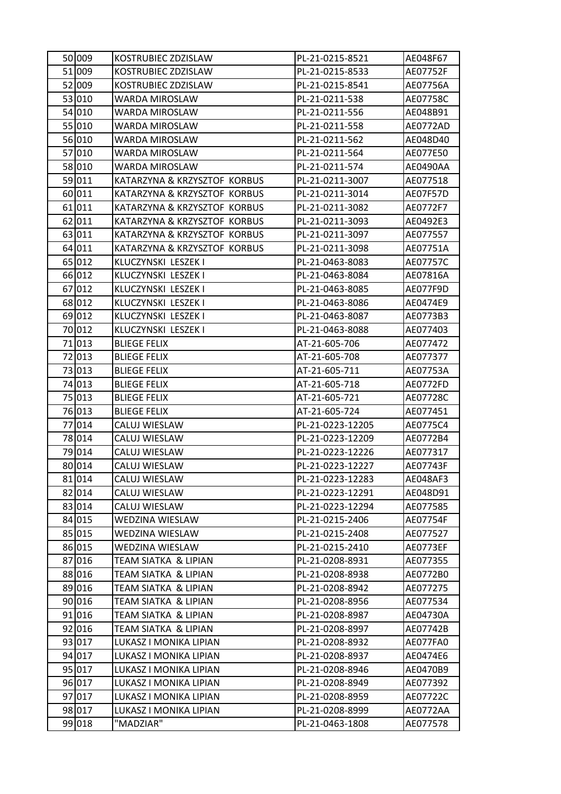| 50 009 | KOSTRUBIEC ZDZISLAW          | PL-21-0215-8521  | AE048F67 |
|--------|------------------------------|------------------|----------|
| 51 009 | KOSTRUBIEC ZDZISLAW          | PL-21-0215-8533  | AE07752F |
| 52 009 | KOSTRUBIEC ZDZISLAW          | PL-21-0215-8541  | AE07756A |
| 53 010 | WARDA MIROSLAW               | PL-21-0211-538   | AE07758C |
| 54 010 | WARDA MIROSLAW               | PL-21-0211-556   | AE048B91 |
| 55 010 | WARDA MIROSLAW               | PL-21-0211-558   | AE0772AD |
| 56 010 | WARDA MIROSLAW               | PL-21-0211-562   | AE048D40 |
| 57 010 | WARDA MIROSLAW               | PL-21-0211-564   | AE077E50 |
| 58 010 | WARDA MIROSLAW               | PL-21-0211-574   | AE0490AA |
| 59 011 | KATARZYNA & KRZYSZTOF KORBUS | PL-21-0211-3007  | AE077518 |
| 60 011 | KATARZYNA & KRZYSZTOF KORBUS | PL-21-0211-3014  | AE07F57D |
| 61 011 | KATARZYNA & KRZYSZTOF KORBUS | PL-21-0211-3082  | AE0772F7 |
| 62 011 | KATARZYNA & KRZYSZTOF KORBUS | PL-21-0211-3093  | AE0492E3 |
| 63 011 | KATARZYNA & KRZYSZTOF KORBUS | PL-21-0211-3097  | AE077557 |
| 64 011 | KATARZYNA & KRZYSZTOF KORBUS | PL-21-0211-3098  | AE07751A |
| 65 012 | KLUCZYNSKI LESZEK I          | PL-21-0463-8083  | AE07757C |
| 66 012 | KLUCZYNSKI LESZEK I          | PL-21-0463-8084  | AE07816A |
| 67 012 | KLUCZYNSKI LESZEK I          | PL-21-0463-8085  | AE077F9D |
| 68 012 | KLUCZYNSKI LESZEK I          | PL-21-0463-8086  | AE0474E9 |
| 69 012 | KLUCZYNSKI LESZEK I          | PL-21-0463-8087  | AE0773B3 |
| 70 012 | KLUCZYNSKI LESZEK I          | PL-21-0463-8088  | AE077403 |
| 71 013 | <b>BLIEGE FELIX</b>          | AT-21-605-706    | AE077472 |
| 72 013 | <b>BLIEGE FELIX</b>          | AT-21-605-708    | AE077377 |
| 73 013 | <b>BLIEGE FELIX</b>          | AT-21-605-711    | AE07753A |
| 74 013 | <b>BLIEGE FELIX</b>          | AT-21-605-718    | AE0772FD |
| 75 013 | <b>BLIEGE FELIX</b>          | AT-21-605-721    | AE07728C |
| 76 013 | <b>BLIEGE FELIX</b>          | AT-21-605-724    | AE077451 |
| 77 014 | CALUJ WIESLAW                | PL-21-0223-12205 | AE0775C4 |
| 78 014 | CALUJ WIESLAW                | PL-21-0223-12209 | AE0772B4 |
| 79 014 | CALUJ WIESLAW                | PL-21-0223-12226 | AE077317 |
| 80014  | CALUJ WIESLAW                | PL-21-0223-12227 | AE07743F |
| 81 014 | CALUJ WIESLAW                | PL-21-0223-12283 | AE048AF3 |
| 82 014 | CALUJ WIESLAW                | PL-21-0223-12291 | AE048D91 |
| 83 014 | CALUJ WIESLAW                | PL-21-0223-12294 | AE077585 |
| 84 015 | <b>WEDZINA WIESLAW</b>       | PL-21-0215-2406  | AE07754F |
| 85 015 | WEDZINA WIESLAW              | PL-21-0215-2408  | AE077527 |
| 86 015 | <b>WEDZINA WIESLAW</b>       | PL-21-0215-2410  | AE0773EF |
| 87 016 | TEAM SIATKA & LIPIAN         | PL-21-0208-8931  | AE077355 |
| 88 016 | TEAM SIATKA & LIPIAN         | PL-21-0208-8938  | AE0772B0 |
| 89 016 | TEAM SIATKA & LIPIAN         | PL-21-0208-8942  | AE077275 |
| 90 016 | TEAM SIATKA & LIPIAN         | PL-21-0208-8956  | AE077534 |
| 91 016 | TEAM SIATKA & LIPIAN         | PL-21-0208-8987  | AE04730A |
| 92 016 | TEAM SIATKA & LIPIAN         | PL-21-0208-8997  | AE07742B |
| 93 017 | LUKASZ I MONIKA LIPIAN       | PL-21-0208-8932  | AE077FA0 |
| 94 017 | LUKASZ I MONIKA LIPIAN       | PL-21-0208-8937  | AE0474E6 |
| 95 017 | LUKASZ I MONIKA LIPIAN       | PL-21-0208-8946  | AE0470B9 |
| 96 017 | LUKASZ I MONIKA LIPIAN       | PL-21-0208-8949  | AE077392 |
| 97 017 | LUKASZ I MONIKA LIPIAN       | PL-21-0208-8959  | AE07722C |
| 98 017 | LUKASZ I MONIKA LIPIAN       | PL-21-0208-8999  | AE0772AA |
| 99 018 | "MADZIAR"                    | PL-21-0463-1808  | AE077578 |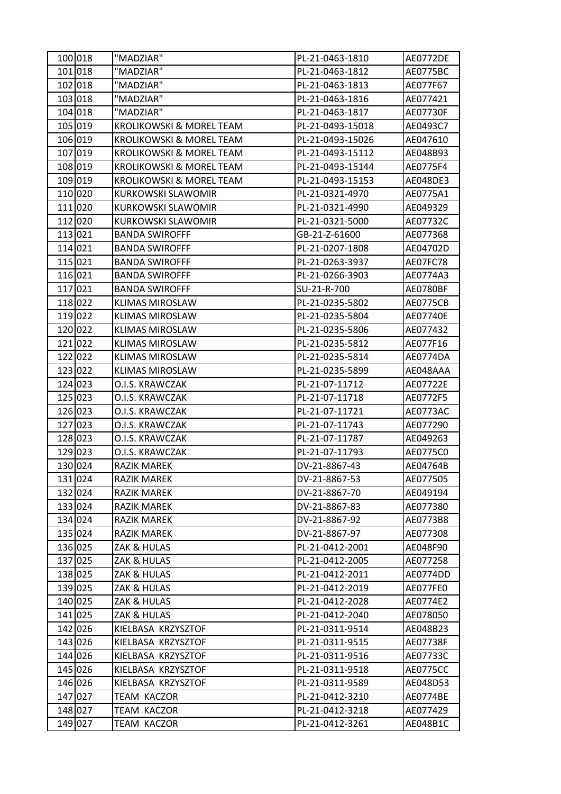| 100018  | "MADZIAR"                           | PL-21-0463-1810  | <b>AE0772DE</b> |
|---------|-------------------------------------|------------------|-----------------|
| 101 018 | "MADZIAR"                           | PL-21-0463-1812  | <b>AE0775BC</b> |
| 102 018 | "MADZIAR"                           | PL-21-0463-1813  | AE077F67        |
| 103 018 | "MADZIAR"                           | PL-21-0463-1816  | AE077421        |
| 104 018 | "MADZIAR"                           | PL-21-0463-1817  | AE07730F        |
| 105 019 | KROLIKOWSKI & MOREL TEAM            | PL-21-0493-15018 | AE0493C7        |
| 106 019 | KROLIKOWSKI & MOREL TEAM            | PL-21-0493-15026 | AE047610        |
| 107 019 | <b>KROLIKOWSKI &amp; MOREL TEAM</b> | PL-21-0493-15112 | AE048B93        |
| 108 019 | <b>KROLIKOWSKI &amp; MOREL TEAM</b> | PL-21-0493-15144 | AE0775F4        |
| 109 019 | <b>KROLIKOWSKI &amp; MOREL TEAM</b> | PL-21-0493-15153 | AE048DE3        |
| 110020  | KURKOWSKI SLAWOMIR                  | PL-21-0321-4970  | AE0775A1        |
| 111 020 | KURKOWSKI SLAWOMIR                  | PL-21-0321-4990  | AE049329        |
| 112 020 | <b>KURKOWSKI SLAWOMIR</b>           | PL-21-0321-5000  | AE07732C        |
| 113 021 | <b>BANDA SWIROFFF</b>               | GB-21-Z-61600    | AE077368        |
| 114 021 | <b>BANDA SWIROFFF</b>               | PL-21-0207-1808  | AE04702D        |
| 115 021 | <b>BANDA SWIROFFF</b>               | PL-21-0263-3937  | AE07FC78        |
| 116 021 | <b>BANDA SWIROFFF</b>               | PL-21-0266-3903  | AE0774A3        |
| 117 021 | <b>BANDA SWIROFFF</b>               | SU-21-R-700      | AE0780BF        |
| 118 022 | <b>KLIMAS MIROSLAW</b>              | PL-21-0235-5802  | <b>AE0775CB</b> |
| 119 022 | <b>KLIMAS MIROSLAW</b>              | PL-21-0235-5804  | AE07740E        |
| 120 022 | <b>KLIMAS MIROSLAW</b>              | PL-21-0235-5806  | AE077432        |
| 121 022 | <b>KLIMAS MIROSLAW</b>              | PL-21-0235-5812  | AE077F16        |
| 122 022 | <b>KLIMAS MIROSLAW</b>              | PL-21-0235-5814  | AE0774DA        |
| 123 022 | <b>KLIMAS MIROSLAW</b>              | PL-21-0235-5899  | AE048AAA        |
| 124 023 | O.I.S. KRAWCZAK                     | PL-21-07-11712   | AE07722E        |
| 125 023 | O.I.S. KRAWCZAK                     | PL-21-07-11718   | AE0772F5        |
| 126 023 | O.I.S. KRAWCZAK                     | PL-21-07-11721   | AE0773AC        |
| 127 023 | O.I.S. KRAWCZAK                     | PL-21-07-11743   | AE077290        |
| 128 023 | O.I.S. KRAWCZAK                     | PL-21-07-11787   | AE049263        |
| 129 023 | O.I.S. KRAWCZAK                     | PL-21-07-11793   | AE0775C0        |
| 130 024 | RAZIK MAREK                         | DV-21-8867-43    | AE04764B        |
| 131 024 | <b>RAZIK MAREK</b>                  | DV-21-8867-53    | AE077505        |
| 132 024 | RAZIK MAREK                         | DV-21-8867-70    | AE049194        |
| 133 024 | RAZIK MAREK                         | DV-21-8867-83    | AE077380        |
| 134 024 | <b>RAZIK MAREK</b>                  | DV-21-8867-92    | AE0773B8        |
| 135 024 | RAZIK MAREK                         | DV-21-8867-97    | AE077308        |
| 136 025 | ZAK & HULAS                         | PL-21-0412-2001  | AE048F90        |
| 137 025 | ZAK & HULAS                         | PL-21-0412-2005  | AE077258        |
| 138 025 | ZAK & HULAS                         | PL-21-0412-2011  | AE0774DD        |
| 139 025 | ZAK & HULAS                         | PL-21-0412-2019  | AE077FE0        |
| 140 025 | ZAK & HULAS                         | PL-21-0412-2028  | AE0774E2        |
| 141 025 | ZAK & HULAS                         | PL-21-0412-2040  | AE078050        |
| 142 026 | KIELBASA KRZYSZTOF                  | PL-21-0311-9514  | AE048B23        |
| 143 026 | KIELBASA KRZYSZTOF                  | PL-21-0311-9515  | AE07738F        |
| 144 026 | KIELBASA KRZYSZTOF                  | PL-21-0311-9516  | AE07733C        |
| 145 026 | KIELBASA KRZYSZTOF                  | PL-21-0311-9518  | <b>AE0775CC</b> |
| 146 026 | KIELBASA KRZYSZTOF                  | PL-21-0311-9589  | AE048D53        |
| 147 027 | TEAM KACZOR                         | PL-21-0412-3210  | AE0774BE        |
| 148 027 | TEAM KACZOR                         | PL-21-0412-3218  | AE077429        |
| 149 027 | TEAM KACZOR                         | PL-21-0412-3261  | AE048B1C        |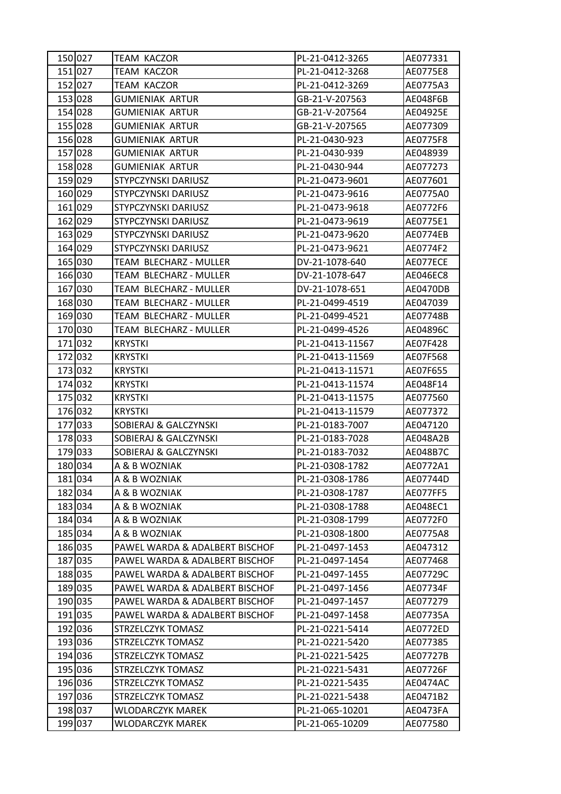| 150 027 | TEAM KACZOR                    | PL-21-0412-3265  | AE077331 |
|---------|--------------------------------|------------------|----------|
| 151 027 | <b>TEAM KACZOR</b>             | PL-21-0412-3268  | AE0775E8 |
| 152 027 | <b>TEAM KACZOR</b>             | PL-21-0412-3269  | AE0775A3 |
| 153 028 | <b>GUMIENIAK ARTUR</b>         | GB-21-V-207563   | AE048F6B |
| 154 028 | <b>GUMIENIAK ARTUR</b>         | GB-21-V-207564   | AE04925E |
| 155 028 | <b>GUMIENIAK ARTUR</b>         | GB-21-V-207565   | AE077309 |
| 156 028 | <b>GUMIENIAK ARTUR</b>         | PL-21-0430-923   | AE0775F8 |
| 157 028 | <b>GUMIENIAK ARTUR</b>         | PL-21-0430-939   | AE048939 |
| 158 028 | <b>GUMIENIAK ARTUR</b>         | PL-21-0430-944   | AE077273 |
| 159 029 | STYPCZYNSKI DARIUSZ            | PL-21-0473-9601  | AE077601 |
| 160 029 | <b>STYPCZYNSKI DARIUSZ</b>     | PL-21-0473-9616  | AE0775A0 |
| 161 029 | STYPCZYNSKI DARIUSZ            | PL-21-0473-9618  | AE0772F6 |
| 162 029 | <b>STYPCZYNSKI DARIUSZ</b>     | PL-21-0473-9619  | AE0775E1 |
| 163 029 | STYPCZYNSKI DARIUSZ            | PL-21-0473-9620  | AE0774EB |
| 164 029 | STYPCZYNSKI DARIUSZ            | PL-21-0473-9621  | AE0774F2 |
| 165 030 | TEAM BLECHARZ - MULLER         | DV-21-1078-640   | AE077ECE |
| 166 030 | TEAM BLECHARZ - MULLER         | DV-21-1078-647   | AE046EC8 |
| 167 030 | TEAM BLECHARZ - MULLER         | DV-21-1078-651   | AE0470DB |
| 168 030 | TEAM BLECHARZ - MULLER         | PL-21-0499-4519  | AE047039 |
| 169 030 | TEAM BLECHARZ - MULLER         | PL-21-0499-4521  | AE07748B |
| 170 030 | TEAM BLECHARZ - MULLER         | PL-21-0499-4526  | AE04896C |
| 171 032 | <b>KRYSTKI</b>                 | PL-21-0413-11567 | AE07F428 |
| 172 032 | <b>KRYSTKI</b>                 | PL-21-0413-11569 | AE07F568 |
| 173 032 | <b>KRYSTKI</b>                 | PL-21-0413-11571 | AE07F655 |
| 174 032 | <b>KRYSTKI</b>                 | PL-21-0413-11574 | AE048F14 |
| 175 032 | <b>KRYSTKI</b>                 | PL-21-0413-11575 | AE077560 |
| 176 032 | <b>KRYSTKI</b>                 | PL-21-0413-11579 | AE077372 |
| 177 033 | SOBIERAJ & GALCZYNSKI          | PL-21-0183-7007  | AE047120 |
| 178 033 | SOBIERAJ & GALCZYNSKI          | PL-21-0183-7028  | AE048A2B |
| 179033  | SOBIERAJ & GALCZYNSKI          | PL-21-0183-7032  | AE048B7C |
| 180 034 | A & B WOZNIAK                  | PL-21-0308-1782  | AE0772A1 |
| 181 034 | A & B WOZNIAK                  | PL-21-0308-1786  | AE07744D |
| 182 034 | A & B WOZNIAK                  | PL-21-0308-1787  | AE077FF5 |
| 183 034 | A & B WOZNIAK                  | PL-21-0308-1788  | AE048EC1 |
| 184 034 | A & B WOZNIAK                  | PL-21-0308-1799  | AE0772F0 |
| 185 034 | A & B WOZNIAK                  | PL-21-0308-1800  | AE0775A8 |
| 186 035 | PAWEL WARDA & ADALBERT BISCHOF | PL-21-0497-1453  | AE047312 |
| 187 035 | PAWEL WARDA & ADALBERT BISCHOF | PL-21-0497-1454  | AE077468 |
| 188 035 | PAWEL WARDA & ADALBERT BISCHOF | PL-21-0497-1455  | AE07729C |
| 189 035 | PAWEL WARDA & ADALBERT BISCHOF | PL-21-0497-1456  | AE07734F |
| 190 035 | PAWEL WARDA & ADALBERT BISCHOF | PL-21-0497-1457  | AE077279 |
| 191 035 | PAWEL WARDA & ADALBERT BISCHOF | PL-21-0497-1458  | AE07735A |
| 192 036 | STRZELCZYK TOMASZ              | PL-21-0221-5414  | AE0772ED |
| 193 036 | STRZELCZYK TOMASZ              | PL-21-0221-5420  | AE077385 |
| 194 036 | STRZELCZYK TOMASZ              | PL-21-0221-5425  | AE07727B |
| 195 036 | STRZELCZYK TOMASZ              | PL-21-0221-5431  | AE07726F |
| 196 036 | STRZELCZYK TOMASZ              | PL-21-0221-5435  | AE0474AC |
| 197 036 | STRZELCZYK TOMASZ              | PL-21-0221-5438  | AE0471B2 |
| 198 037 | WLODARCZYK MAREK               | PL-21-065-10201  | AE0473FA |
| 199 037 | WLODARCZYK MAREK               | PL-21-065-10209  | AE077580 |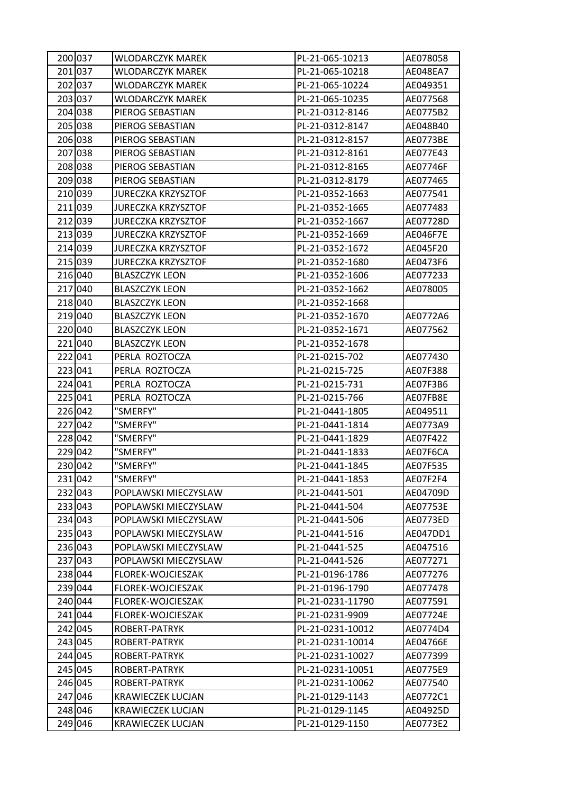| 200 037 | <b>WLODARCZYK MAREK</b>   | PL-21-065-10213  | AE078058        |
|---------|---------------------------|------------------|-----------------|
| 201 037 | WLODARCZYK MAREK          | PL-21-065-10218  | AE048EA7        |
| 202 037 | <b>WLODARCZYK MAREK</b>   | PL-21-065-10224  | AE049351        |
| 203 037 | <b>WLODARCZYK MAREK</b>   | PL-21-065-10235  | AE077568        |
| 204 038 | PIEROG SEBASTIAN          | PL-21-0312-8146  | AE0775B2        |
| 205 038 | PIEROG SEBASTIAN          | PL-21-0312-8147  | AE048B40        |
| 206 038 | PIEROG SEBASTIAN          | PL-21-0312-8157  | AE0773BE        |
| 207 038 | PIEROG SEBASTIAN          | PL-21-0312-8161  | AE077E43        |
| 208 038 | PIEROG SEBASTIAN          | PL-21-0312-8165  | AE07746F        |
| 209 038 | PIEROG SEBASTIAN          | PL-21-0312-8179  | AE077465        |
| 210 039 | <b>JURECZKA KRZYSZTOF</b> | PL-21-0352-1663  | AE077541        |
| 211 039 | <b>JURECZKA KRZYSZTOF</b> | PL-21-0352-1665  | AE077483        |
| 212 039 | <b>JURECZKA KRZYSZTOF</b> | PL-21-0352-1667  | AE07728D        |
| 213 039 | <b>JURECZKA KRZYSZTOF</b> | PL-21-0352-1669  | <b>AE046F7E</b> |
| 214 039 | <b>JURECZKA KRZYSZTOF</b> | PL-21-0352-1672  | AE045F20        |
| 215 039 | JURECZKA KRZYSZTOF        | PL-21-0352-1680  | AE0473F6        |
| 216 040 | <b>BLASZCZYK LEON</b>     | PL-21-0352-1606  | AE077233        |
| 217 040 | <b>BLASZCZYK LEON</b>     | PL-21-0352-1662  | AE078005        |
| 218 040 | <b>BLASZCZYK LEON</b>     | PL-21-0352-1668  |                 |
| 219 040 | <b>BLASZCZYK LEON</b>     | PL-21-0352-1670  | AE0772A6        |
| 220 040 | <b>BLASZCZYK LEON</b>     | PL-21-0352-1671  | AE077562        |
| 221 040 | <b>BLASZCZYK LEON</b>     | PL-21-0352-1678  |                 |
| 222 041 | PERLA ROZTOCZA            | PL-21-0215-702   | AE077430        |
| 223 041 | PERLA ROZTOCZA            | PL-21-0215-725   | AE07F388        |
| 224 041 | PERLA ROZTOCZA            | PL-21-0215-731   | AE07F3B6        |
| 225 041 | PERLA ROZTOCZA            | PL-21-0215-766   | AE07FB8E        |
| 226 042 | "SMERFY"                  | PL-21-0441-1805  | AE049511        |
| 227 042 | "SMERFY"                  | PL-21-0441-1814  | AE0773A9        |
| 228 042 | "SMERFY"                  | PL-21-0441-1829  | AE07F422        |
| 229 042 | "SMERFY"                  | PL-21-0441-1833  | AE07F6CA        |
| 230 042 | "SMERFY"                  | PL-21-0441-1845  | AE07F535        |
| 231 042 | "SMERFY"                  | PL-21-0441-1853  | AE07F2F4        |
| 232 043 | POPLAWSKI MIECZYSLAW      | PL-21-0441-501   | AE04709D        |
| 233 043 | POPLAWSKI MIECZYSLAW      | PL-21-0441-504   | AE07753E        |
| 234 043 | POPLAWSKI MIECZYSLAW      | PL-21-0441-506   | AE0773ED        |
| 235 043 | POPLAWSKI MIECZYSLAW      | PL-21-0441-516   | AE047DD1        |
| 236 043 | POPLAWSKI MIECZYSLAW      | PL-21-0441-525   | AE047516        |
| 237 043 | POPLAWSKI MIECZYSLAW      | PL-21-0441-526   | AE077271        |
| 238 044 | FLOREK-WOJCIESZAK         | PL-21-0196-1786  | AE077276        |
| 239 044 | FLOREK-WOJCIESZAK         | PL-21-0196-1790  | AE077478        |
| 240 044 | FLOREK-WOJCIESZAK         | PL-21-0231-11790 | AE077591        |
| 241 044 | FLOREK-WOJCIESZAK         | PL-21-0231-9909  | AE07724E        |
| 242 045 | ROBERT-PATRYK             | PL-21-0231-10012 | AE0774D4        |
| 243 045 | ROBERT-PATRYK             | PL-21-0231-10014 | AE04766E        |
| 244 045 | ROBERT-PATRYK             | PL-21-0231-10027 | AE077399        |
| 245 045 | ROBERT-PATRYK             | PL-21-0231-10051 | AE0775E9        |
| 246 045 | ROBERT-PATRYK             | PL-21-0231-10062 | AE077540        |
| 247 046 | KRAWIECZEK LUCJAN         | PL-21-0129-1143  | AE0772C1        |
| 248 046 | KRAWIECZEK LUCJAN         | PL-21-0129-1145  | AE04925D        |
| 249 046 | KRAWIECZEK LUCJAN         | PL-21-0129-1150  | AE0773E2        |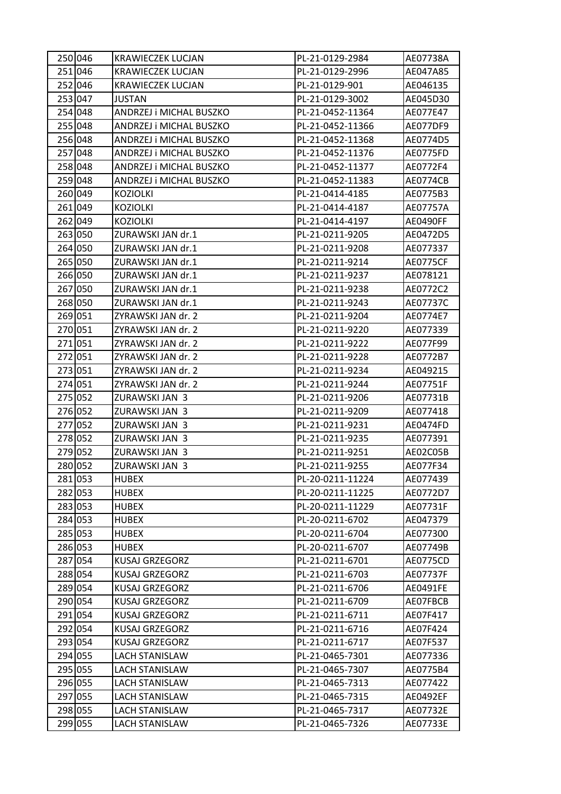| 250 046 | <b>KRAWIECZEK LUCJAN</b> | PL-21-0129-2984  | AE07738A        |
|---------|--------------------------|------------------|-----------------|
| 251 046 | <b>KRAWIECZEK LUCJAN</b> | PL-21-0129-2996  | AE047A85        |
| 252 046 | <b>KRAWIECZEK LUCJAN</b> | PL-21-0129-901   | AE046135        |
| 253 047 | JUSTAN                   | PL-21-0129-3002  | AE045D30        |
| 254 048 | ANDRZEJ i MICHAL BUSZKO  | PL-21-0452-11364 | AE077E47        |
| 255 048 | ANDRZEJ i MICHAL BUSZKO  | PL-21-0452-11366 | AE077DF9        |
| 256 048 | ANDRZEJ i MICHAL BUSZKO  | PL-21-0452-11368 | AE0774D5        |
| 257 048 | ANDRZEJ i MICHAL BUSZKO  | PL-21-0452-11376 | AE0775FD        |
| 258 048 | ANDRZEJ i MICHAL BUSZKO  | PL-21-0452-11377 | AE0772F4        |
| 259 048 | ANDRZEJ i MICHAL BUSZKO  | PL-21-0452-11383 | <b>AE0774CB</b> |
| 260 049 | <b>KOZIOLKI</b>          | PL-21-0414-4185  | AE0775B3        |
| 261 049 | <b>KOZIOLKI</b>          | PL-21-0414-4187  | AE07757A        |
| 262 049 | <b>KOZIOLKI</b>          | PL-21-0414-4197  | AE0490FF        |
| 263 050 | ZURAWSKI JAN dr.1        | PL-21-0211-9205  | AE0472D5        |
| 264 050 | ZURAWSKI JAN dr.1        | PL-21-0211-9208  | AE077337        |
| 265 050 | ZURAWSKI JAN dr.1        | PL-21-0211-9214  | <b>AE0775CF</b> |
| 266 050 | ZURAWSKI JAN dr.1        | PL-21-0211-9237  | AE078121        |
| 267 050 | ZURAWSKI JAN dr.1        | PL-21-0211-9238  | AE0772C2        |
| 268 050 | ZURAWSKI JAN dr.1        | PL-21-0211-9243  | AE07737C        |
| 269 051 | ZYRAWSKI JAN dr. 2       | PL-21-0211-9204  | AE0774E7        |
| 270 051 | ZYRAWSKI JAN dr. 2       | PL-21-0211-9220  | AE077339        |
| 271 051 | ZYRAWSKI JAN dr. 2       | PL-21-0211-9222  | AE077F99        |
| 272 051 | ZYRAWSKI JAN dr. 2       | PL-21-0211-9228  | AE0772B7        |
| 273 051 | ZYRAWSKI JAN dr. 2       | PL-21-0211-9234  | AE049215        |
| 274 051 | ZYRAWSKI JAN dr. 2       | PL-21-0211-9244  | AE07751F        |
| 275 052 | ZURAWSKI JAN 3           | PL-21-0211-9206  | AE07731B        |
| 276 052 | ZURAWSKI JAN 3           | PL-21-0211-9209  | AE077418        |
| 277 052 | ZURAWSKI JAN 3           | PL-21-0211-9231  | AE0474FD        |
| 278 052 | ZURAWSKI JAN 3           | PL-21-0211-9235  | AE077391        |
| 279 052 | ZURAWSKI JAN 3           | PL-21-0211-9251  | AE02C05B        |
| 280 052 | ZURAWSKI JAN 3           | PL-21-0211-9255  | AE077F34        |
| 281 053 | <b>HUBEX</b>             | PL-20-0211-11224 | AE077439        |
| 282 053 | <b>HUBEX</b>             | PL-20-0211-11225 | AE0772D7        |
| 283 053 | <b>HUBEX</b>             | PL-20-0211-11229 | AE07731F        |
| 284 053 | <b>HUBEX</b>             | PL-20-0211-6702  | AE047379        |
| 285 053 | <b>HUBEX</b>             | PL-20-0211-6704  | AE077300        |
| 286 053 | <b>HUBEX</b>             | PL-20-0211-6707  | AE07749B        |
| 287 054 | <b>KUSAJ GRZEGORZ</b>    | PL-21-0211-6701  | AE0775CD        |
| 288 054 | KUSAJ GRZEGORZ           | PL-21-0211-6703  | AE07737F        |
| 289 054 | <b>KUSAJ GRZEGORZ</b>    | PL-21-0211-6706  | AE0491FE        |
| 290 054 | KUSAJ GRZEGORZ           | PL-21-0211-6709  | AE07FBCB        |
| 291 054 | <b>KUSAJ GRZEGORZ</b>    | PL-21-0211-6711  | AE07F417        |
| 292 054 | KUSAJ GRZEGORZ           | PL-21-0211-6716  | AE07F424        |
| 293 054 | <b>KUSAJ GRZEGORZ</b>    | PL-21-0211-6717  | AE07F537        |
| 294 055 | LACH STANISLAW           | PL-21-0465-7301  | AE077336        |
| 295 055 | <b>LACH STANISLAW</b>    | PL-21-0465-7307  | AE0775B4        |
| 296 055 | <b>LACH STANISLAW</b>    | PL-21-0465-7313  | AE077422        |
| 297 055 | LACH STANISLAW           | PL-21-0465-7315  | AE0492EF        |
| 298 055 | LACH STANISLAW           | PL-21-0465-7317  | AE07732E        |
| 299 055 | LACH STANISLAW           | PL-21-0465-7326  | AE07733E        |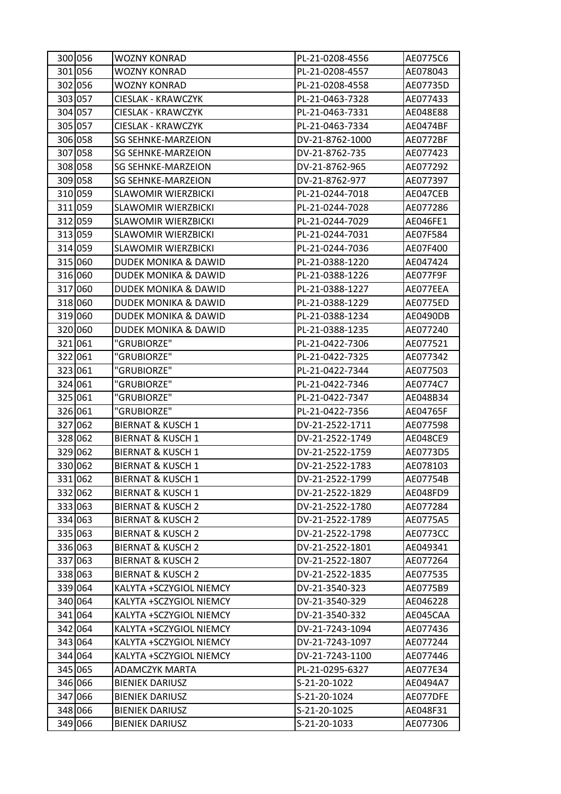| 300 056 | WOZNY KONRAD                    | PL-21-0208-4556 | AE0775C6 |
|---------|---------------------------------|-----------------|----------|
| 301 056 | <b>WOZNY KONRAD</b>             | PL-21-0208-4557 | AE078043 |
| 302 056 | <b>WOZNY KONRAD</b>             | PL-21-0208-4558 | AE07735D |
| 303 057 | CIESLAK - KRAWCZYK              | PL-21-0463-7328 | AE077433 |
| 304 057 | CIESLAK - KRAWCZYK              | PL-21-0463-7331 | AE048E88 |
| 305 057 | CIESLAK - KRAWCZYK              | PL-21-0463-7334 | AE0474BF |
| 306 058 | <b>SG SEHNKE-MARZEION</b>       | DV-21-8762-1000 | AE0772BF |
| 307 058 | <b>SG SEHNKE-MARZEION</b>       | DV-21-8762-735  | AE077423 |
| 308 058 | <b>SG SEHNKE-MARZEION</b>       | DV-21-8762-965  | AE077292 |
| 309 058 | <b>SG SEHNKE-MARZEION</b>       | DV-21-8762-977  | AE077397 |
| 310 059 | <b>SLAWOMIR WIERZBICKI</b>      | PL-21-0244-7018 | AE047CEB |
| 311 059 | <b>SLAWOMIR WIERZBICKI</b>      | PL-21-0244-7028 | AE077286 |
| 312 059 | <b>SLAWOMIR WIERZBICKI</b>      | PL-21-0244-7029 | AE046FE1 |
| 313 059 | <b>SLAWOMIR WIERZBICKI</b>      | PL-21-0244-7031 | AE07F584 |
| 314 059 | <b>SLAWOMIR WIERZBICKI</b>      | PL-21-0244-7036 | AE07F400 |
| 315 060 | DUDEK MONIKA & DAWID            | PL-21-0388-1220 | AE047424 |
| 316 060 | <b>DUDEK MONIKA &amp; DAWID</b> | PL-21-0388-1226 | AE077F9F |
| 317 060 | <b>DUDEK MONIKA &amp; DAWID</b> | PL-21-0388-1227 | AE077EEA |
| 318 060 | <b>DUDEK MONIKA &amp; DAWID</b> | PL-21-0388-1229 | AE0775ED |
| 319 060 | <b>DUDEK MONIKA &amp; DAWID</b> | PL-21-0388-1234 | AE0490DB |
| 320 060 | DUDEK MONIKA & DAWID            | PL-21-0388-1235 | AE077240 |
| 321 061 | "GRUBIORZE"                     | PL-21-0422-7306 | AE077521 |
| 322 061 | "GRUBIORZE"                     | PL-21-0422-7325 | AE077342 |
| 323 061 | "GRUBIORZE"                     | PL-21-0422-7344 | AE077503 |
| 324 061 | "GRUBIORZE"                     | PL-21-0422-7346 | AE0774C7 |
| 325 061 | "GRUBIORZE"                     | PL-21-0422-7347 | AE048B34 |
| 326 061 | "GRUBIORZE"                     | PL-21-0422-7356 | AE04765F |
| 327 062 | <b>BIERNAT &amp; KUSCH 1</b>    | DV-21-2522-1711 | AE077598 |
| 328 062 | <b>BIERNAT &amp; KUSCH 1</b>    | DV-21-2522-1749 | AE048CE9 |
| 329 062 | <b>BIERNAT &amp; KUSCH 1</b>    | DV-21-2522-1759 | AE0773D5 |
| 330 062 | <b>BIERNAT &amp; KUSCH 1</b>    | DV-21-2522-1783 | AE078103 |
| 331 062 | <b>BIERNAT &amp; KUSCH 1</b>    | DV-21-2522-1799 | AE07754B |
| 332 062 | <b>BIERNAT &amp; KUSCH 1</b>    | DV-21-2522-1829 | AE048FD9 |
| 333 063 | <b>BIERNAT &amp; KUSCH 2</b>    | DV-21-2522-1780 | AE077284 |
| 334 063 | <b>BIERNAT &amp; KUSCH 2</b>    | DV-21-2522-1789 | AE0775A5 |
| 335 063 | <b>BIERNAT &amp; KUSCH 2</b>    | DV-21-2522-1798 | AE0773CC |
| 336 063 | <b>BIERNAT &amp; KUSCH 2</b>    | DV-21-2522-1801 | AE049341 |
| 337 063 | <b>BIERNAT &amp; KUSCH 2</b>    | DV-21-2522-1807 | AE077264 |
| 338 063 | <b>BIERNAT &amp; KUSCH 2</b>    | DV-21-2522-1835 | AE077535 |
| 339 064 | KALYTA +SCZYGIOL NIEMCY         | DV-21-3540-323  | AE0775B9 |
| 340 064 | KALYTA +SCZYGIOL NIEMCY         | DV-21-3540-329  | AE046228 |
| 341 064 | KALYTA +SCZYGIOL NIEMCY         | DV-21-3540-332  | AE045CAA |
| 342 064 | KALYTA +SCZYGIOL NIEMCY         | DV-21-7243-1094 | AE077436 |
| 343 064 | KALYTA +SCZYGIOL NIEMCY         | DV-21-7243-1097 | AE077244 |
| 344 064 | KALYTA +SCZYGIOL NIEMCY         | DV-21-7243-1100 | AE077446 |
| 345 065 | <b>ADAMCZYK MARTA</b>           | PL-21-0295-6327 | AE077E34 |
| 346 066 | <b>BIENIEK DARIUSZ</b>          | S-21-20-1022    | AE0494A7 |
| 347 066 | <b>BIENIEK DARIUSZ</b>          | S-21-20-1024    | AE077DFE |
| 348 066 | <b>BIENIEK DARIUSZ</b>          | S-21-20-1025    | AE048F31 |
| 349 066 | <b>BIENIEK DARIUSZ</b>          | S-21-20-1033    | AE077306 |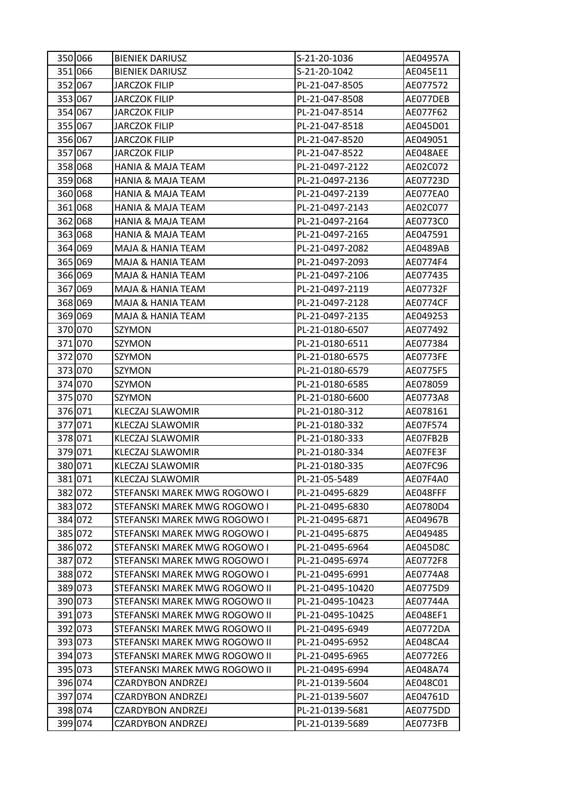| 350 066 | <b>BIENIEK DARIUSZ</b>        | S-21-20-1036     | AE04957A        |
|---------|-------------------------------|------------------|-----------------|
| 351 066 | <b>BIENIEK DARIUSZ</b>        | S-21-20-1042     | AE045E11        |
| 352 067 | <b>JARCZOK FILIP</b>          | PL-21-047-8505   | AE077572        |
| 353 067 | <b>JARCZOK FILIP</b>          | PL-21-047-8508   | AE077DEB        |
| 354 067 | <b>JARCZOK FILIP</b>          | PL-21-047-8514   | AE077F62        |
| 355 067 | <b>JARCZOK FILIP</b>          | PL-21-047-8518   | AE045D01        |
| 356 067 | <b>JARCZOK FILIP</b>          | PL-21-047-8520   | AE049051        |
| 357 067 | <b>JARCZOK FILIP</b>          | PL-21-047-8522   | AE048AEE        |
| 358 068 | HANIA & MAJA TEAM             | PL-21-0497-2122  | AE02C072        |
| 359 068 | <b>HANIA &amp; MAJA TEAM</b>  | PL-21-0497-2136  | AE07723D        |
| 360 068 | <b>HANIA &amp; MAJA TEAM</b>  | PL-21-0497-2139  | AE077EA0        |
| 361 068 | <b>HANIA &amp; MAJA TEAM</b>  | PL-21-0497-2143  | AE02C077        |
| 362 068 | <b>HANIA &amp; MAJA TEAM</b>  | PL-21-0497-2164  | AE0773C0        |
| 363 068 | <b>HANIA &amp; MAJA TEAM</b>  | PL-21-0497-2165  | AE047591        |
| 364 069 | MAJA & HANIA TEAM             | PL-21-0497-2082  | AE0489AB        |
| 365 069 | MAJA & HANIA TEAM             | PL-21-0497-2093  | AE0774F4        |
| 366 069 | MAJA & HANIA TEAM             | PL-21-0497-2106  | AE077435        |
| 367 069 | MAJA & HANIA TEAM             | PL-21-0497-2119  | AE07732F        |
| 368 069 | MAJA & HANIA TEAM             | PL-21-0497-2128  | <b>AE0774CF</b> |
| 369 069 | MAJA & HANIA TEAM             | PL-21-0497-2135  | AE049253        |
| 370 070 | SZYMON                        | PL-21-0180-6507  | AE077492        |
| 371 070 | SZYMON                        | PL-21-0180-6511  | AE077384        |
| 372 070 | SZYMON                        | PL-21-0180-6575  | AE0773FE        |
| 373 070 | SZYMON                        | PL-21-0180-6579  | AE0775F5        |
| 374 070 | SZYMON                        | PL-21-0180-6585  | AE078059        |
| 375 070 | SZYMON                        | PL-21-0180-6600  | AE0773A8        |
| 376 071 | <b>KLECZAJ SLAWOMIR</b>       | PL-21-0180-312   | AE078161        |
| 377 071 | <b>KLECZAJ SLAWOMIR</b>       | PL-21-0180-332   | AE07F574        |
| 378 071 | <b>KLECZAJ SLAWOMIR</b>       | PL-21-0180-333   | AE07FB2B        |
| 379 071 | <b>KLECZAJ SLAWOMIR</b>       | PL-21-0180-334   | AE07FE3F        |
| 380 071 | KLECZAJ SLAWOMIR              | PL-21-0180-335   | AE07FC96        |
| 381 071 | <b>KLECZAJ SLAWOMIR</b>       | PL-21-05-5489    | AE07F4A0        |
| 382 072 | STEFANSKI MAREK MWG ROGOWO I  | PL-21-0495-6829  | AE048FFF        |
| 383 072 | STEFANSKI MAREK MWG ROGOWO I  | PL-21-0495-6830  | AE0780D4        |
| 384 072 | STEFANSKI MAREK MWG ROGOWO I  | PL-21-0495-6871  | AE04967B        |
| 385 072 | STEFANSKI MAREK MWG ROGOWO I  | PL-21-0495-6875  | AE049485        |
| 386 072 | STEFANSKI MAREK MWG ROGOWO I  | PL-21-0495-6964  | AE045D8C        |
| 387 072 | STEFANSKI MAREK MWG ROGOWO I  | PL-21-0495-6974  | AE0772F8        |
| 388 072 | STEFANSKI MAREK MWG ROGOWO I  | PL-21-0495-6991  | AE0774A8        |
| 389 073 | STEFANSKI MAREK MWG ROGOWO II | PL-21-0495-10420 | AE0775D9        |
| 390 073 | STEFANSKI MAREK MWG ROGOWO II | PL-21-0495-10423 | AE07744A        |
| 391 073 | STEFANSKI MAREK MWG ROGOWO II | PL-21-0495-10425 | AE048EF1        |
| 392 073 | STEFANSKI MAREK MWG ROGOWO II | PL-21-0495-6949  | AE0772DA        |
| 393 073 | STEFANSKI MAREK MWG ROGOWO II | PL-21-0495-6952  | AE048CA4        |
| 394 073 | STEFANSKI MAREK MWG ROGOWO II | PL-21-0495-6965  | AE0772E6        |
| 395 073 | STEFANSKI MAREK MWG ROGOWO II | PL-21-0495-6994  | AE048A74        |
| 396 074 | <b>CZARDYBON ANDRZEJ</b>      | PL-21-0139-5604  | AE048C01        |
| 397 074 | <b>CZARDYBON ANDRZEJ</b>      | PL-21-0139-5607  | AE04761D        |
| 398 074 | <b>CZARDYBON ANDRZEJ</b>      | PL-21-0139-5681  | AE0775DD        |
| 399 074 | <b>CZARDYBON ANDRZEJ</b>      | PL-21-0139-5689  | AE0773FB        |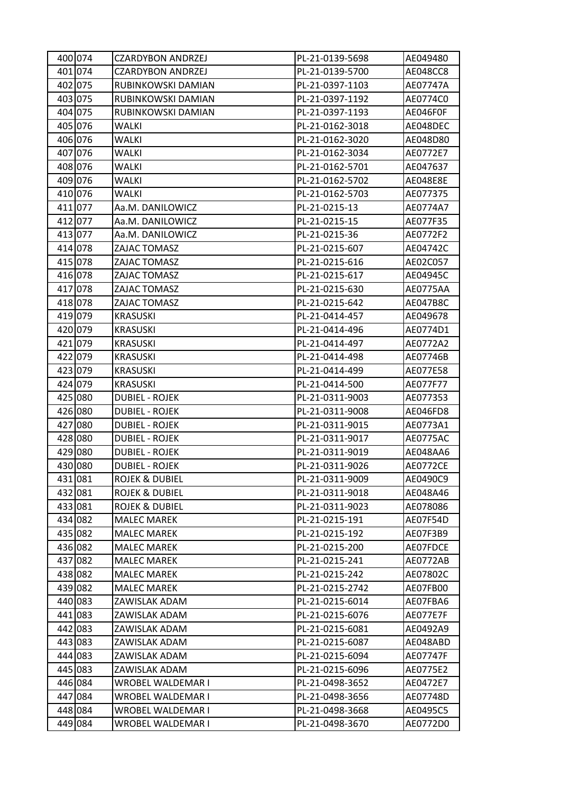| 400 074 | <b>CZARDYBON ANDRZEJ</b>  | PL-21-0139-5698 | AE049480        |
|---------|---------------------------|-----------------|-----------------|
| 401 074 | <b>CZARDYBON ANDRZEJ</b>  | PL-21-0139-5700 | AE048CC8        |
| 402 075 | RUBINKOWSKI DAMIAN        | PL-21-0397-1103 | AE07747A        |
| 403 075 | RUBINKOWSKI DAMIAN        | PL-21-0397-1192 | AE0774C0        |
| 404 075 | RUBINKOWSKI DAMIAN        | PL-21-0397-1193 | AE046F0F        |
| 405 076 | WALKI                     | PL-21-0162-3018 | AE048DEC        |
| 406 076 | <b>WALKI</b>              | PL-21-0162-3020 | AE048D80        |
| 407 076 | <b>WALKI</b>              | PL-21-0162-3034 | AE0772E7        |
| 408 076 | WALKI                     | PL-21-0162-5701 | AE047637        |
| 409 076 | <b>WALKI</b>              | PL-21-0162-5702 | AE048E8E        |
| 410 076 | WALKI                     | PL-21-0162-5703 | AE077375        |
| 411 077 | Aa.M. DANILOWICZ          | PL-21-0215-13   | AE0774A7        |
| 412 077 | Aa.M. DANILOWICZ          | PL-21-0215-15   | AE077F35        |
| 413 077 | Aa.M. DANILOWICZ          | PL-21-0215-36   | AE0772F2        |
| 414 078 | ZAJAC TOMASZ              | PL-21-0215-607  | AE04742C        |
| 415 078 | ZAJAC TOMASZ              | PL-21-0215-616  | AE02C057        |
| 416 078 | ZAJAC TOMASZ              | PL-21-0215-617  | AE04945C        |
| 417 078 | ZAJAC TOMASZ              | PL-21-0215-630  | AE0775AA        |
| 418 078 | ZAJAC TOMASZ              | PL-21-0215-642  | AE047B8C        |
| 419 079 | <b>KRASUSKI</b>           | PL-21-0414-457  | AE049678        |
| 420 079 | <b>KRASUSKI</b>           | PL-21-0414-496  | AE0774D1        |
| 421 079 | <b>KRASUSKI</b>           | PL-21-0414-497  | AE0772A2        |
| 422 079 | <b>KRASUSKI</b>           | PL-21-0414-498  | AE07746B        |
| 423 079 | <b>KRASUSKI</b>           | PL-21-0414-499  | AE077E58        |
| 424 079 | <b>KRASUSKI</b>           | PL-21-0414-500  | AE077F77        |
| 425 080 | <b>DUBIEL - ROJEK</b>     | PL-21-0311-9003 | AE077353        |
| 426 080 | <b>DUBIEL - ROJEK</b>     | PL-21-0311-9008 | AE046FD8        |
| 427 080 | <b>DUBIEL - ROJEK</b>     | PL-21-0311-9015 | AE0773A1        |
| 428 080 | <b>DUBIEL - ROJEK</b>     | PL-21-0311-9017 | AE0775AC        |
| 429 080 | <b>DUBIEL - ROJEK</b>     | PL-21-0311-9019 | AE048AA6        |
| 430 080 | <b>DUBIEL - ROJEK</b>     | PL-21-0311-9026 | <b>AE0772CE</b> |
| 431 081 | <b>ROJEK &amp; DUBIEL</b> | PL-21-0311-9009 | AE0490C9        |
| 432 081 | <b>ROJEK &amp; DUBIEL</b> | PL-21-0311-9018 | AE048A46        |
| 433 081 | ROJEK & DUBIEL            | PL-21-0311-9023 | AE078086        |
| 434 082 | <b>MALEC MAREK</b>        | PL-21-0215-191  | AE07F54D        |
| 435 082 | <b>MALEC MAREK</b>        | PL-21-0215-192  | AE07F3B9        |
| 436 082 | <b>MALEC MAREK</b>        | PL-21-0215-200  | AE07FDCE        |
| 437 082 | <b>MALEC MAREK</b>        | PL-21-0215-241  | AE0772AB        |
| 438 082 | <b>MALEC MAREK</b>        | PL-21-0215-242  | AE07802C        |
| 439 082 | <b>MALEC MAREK</b>        | PL-21-0215-2742 | AE07FB00        |
| 440 083 | ZAWISLAK ADAM             | PL-21-0215-6014 | AE07FBA6        |
| 441 083 | ZAWISLAK ADAM             | PL-21-0215-6076 | AE077E7F        |
| 442 083 | ZAWISLAK ADAM             | PL-21-0215-6081 | AE0492A9        |
| 443 083 | ZAWISLAK ADAM             | PL-21-0215-6087 | AE048ABD        |
| 444 083 | ZAWISLAK ADAM             | PL-21-0215-6094 | AE07747F        |
| 445 083 | ZAWISLAK ADAM             | PL-21-0215-6096 | AE0775E2        |
| 446 084 | WROBEL WALDEMAR I         | PL-21-0498-3652 | AE0472E7        |
| 447 084 | WROBEL WALDEMAR I         | PL-21-0498-3656 | AE07748D        |
| 448 084 | WROBEL WALDEMAR I         | PL-21-0498-3668 | AE0495C5        |
| 449 084 | WROBEL WALDEMAR I         | PL-21-0498-3670 | AE0772D0        |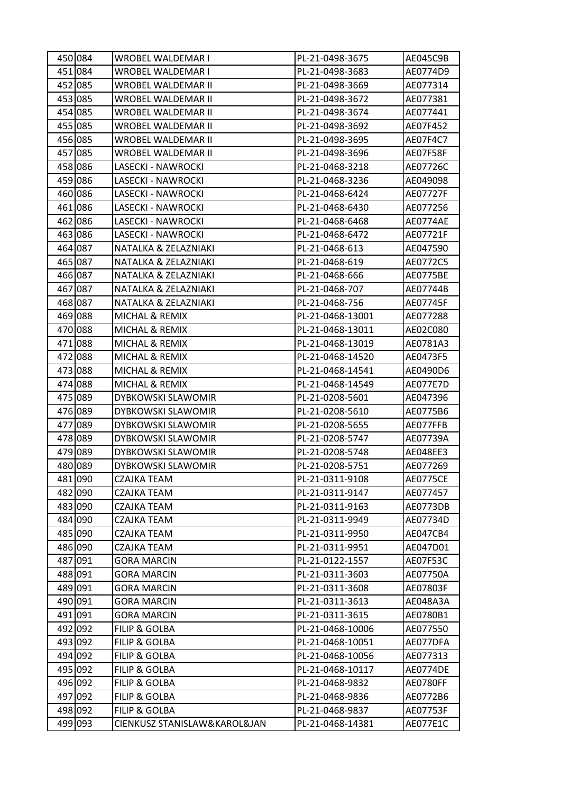| 450 084 | WROBEL WALDEMAR I            | PL-21-0498-3675  | AE045C9B        |
|---------|------------------------------|------------------|-----------------|
| 451 084 | WROBEL WALDEMAR I            | PL-21-0498-3683  | AE0774D9        |
| 452 085 | WROBEL WALDEMAR II           | PL-21-0498-3669  | AE077314        |
| 453 085 | WROBEL WALDEMAR II           | PL-21-0498-3672  | AE077381        |
| 454 085 | WROBEL WALDEMAR II           | PL-21-0498-3674  | AE077441        |
| 455 085 | WROBEL WALDEMAR II           | PL-21-0498-3692  | AE07F452        |
| 456 085 | WROBEL WALDEMAR II           | PL-21-0498-3695  | AE07F4C7        |
| 457 085 | WROBEL WALDEMAR II           | PL-21-0498-3696  | AE07F58F        |
| 458 086 | LASECKI - NAWROCKI           | PL-21-0468-3218  | AE07726C        |
| 459 086 | LASECKI - NAWROCKI           | PL-21-0468-3236  | AE049098        |
| 460 086 | LASECKI - NAWROCKI           | PL-21-0468-6424  | AE07727F        |
| 461 086 | LASECKI - NAWROCKI           | PL-21-0468-6430  | AE077256        |
| 462 086 | LASECKI - NAWROCKI           | PL-21-0468-6468  | AE0774AE        |
| 463 086 | LASECKI - NAWROCKI           | PL-21-0468-6472  | AE07721F        |
| 464 087 | NATALKA & ZELAZNIAKI         | PL-21-0468-613   | AE047590        |
| 465 087 | NATALKA & ZELAZNIAKI         | PL-21-0468-619   | AE0772C5        |
| 466 087 | NATALKA & ZELAZNIAKI         | PL-21-0468-666   | AE0775BE        |
| 467 087 | NATALKA & ZELAZNIAKI         | PL-21-0468-707   | AE07744B        |
| 468 087 | NATALKA & ZELAZNIAKI         | PL-21-0468-756   | AE07745F        |
| 469 088 | MICHAL & REMIX               | PL-21-0468-13001 | AE077288        |
| 470 088 | MICHAL & REMIX               | PL-21-0468-13011 | AE02C080        |
| 471 088 | MICHAL & REMIX               | PL-21-0468-13019 | AE0781A3        |
| 472 088 | MICHAL & REMIX               | PL-21-0468-14520 | AE0473F5        |
| 473 088 | MICHAL & REMIX               | PL-21-0468-14541 | AE0490D6        |
| 474 088 | MICHAL & REMIX               | PL-21-0468-14549 | AE077E7D        |
| 475 089 | DYBKOWSKI SLAWOMIR           | PL-21-0208-5601  | AE047396        |
| 476 089 | DYBKOWSKI SLAWOMIR           | PL-21-0208-5610  | AE0775B6        |
| 477 089 | <b>DYBKOWSKI SLAWOMIR</b>    | PL-21-0208-5655  | AE077FFB        |
| 478 089 | DYBKOWSKI SLAWOMIR           | PL-21-0208-5747  | AE07739A        |
| 479 089 | DYBKOWSKI SLAWOMIR           | PL-21-0208-5748  | AE048EE3        |
| 480 089 | DYBKOWSKI SLAWOMIR           | PL-21-0208-5751  | AE077269        |
| 481 090 | <b>CZAJKA TEAM</b>           | PL-21-0311-9108  | <b>AE0775CE</b> |
| 482 090 | CZAJKA TEAM                  | PL-21-0311-9147  | AE077457        |
| 483 090 | CZAJKA TEAM                  | PL-21-0311-9163  | AE0773DB        |
| 484 090 | CZAJKA TEAM                  | PL-21-0311-9949  | AE07734D        |
| 485 090 | CZAJKA TEAM                  | PL-21-0311-9950  | AE047CB4        |
| 486 090 | CZAJKA TEAM                  | PL-21-0311-9951  | AE047D01        |
| 487 091 | <b>GORA MARCIN</b>           | PL-21-0122-1557  | AE07F53C        |
| 488 091 | <b>GORA MARCIN</b>           | PL-21-0311-3603  | AE07750A        |
| 489 091 | <b>GORA MARCIN</b>           | PL-21-0311-3608  | AE07803F        |
| 490 091 | GORA MARCIN                  | PL-21-0311-3613  | AE048A3A        |
| 491 091 | <b>GORA MARCIN</b>           | PL-21-0311-3615  | AE0780B1        |
| 492 092 | FILIP & GOLBA                | PL-21-0468-10006 | AE077550        |
| 493 092 | <b>FILIP &amp; GOLBA</b>     | PL-21-0468-10051 | AE077DFA        |
| 494 092 | <b>FILIP &amp; GOLBA</b>     | PL-21-0468-10056 | AE077313        |
| 495 092 | <b>FILIP &amp; GOLBA</b>     | PL-21-0468-10117 | <b>AE0774DE</b> |
| 496 092 | <b>FILIP &amp; GOLBA</b>     | PL-21-0468-9832  | AE0780FF        |
| 497 092 | FILIP & GOLBA                | PL-21-0468-9836  | AE0772B6        |
| 498 092 | FILIP & GOLBA                | PL-21-0468-9837  | AE07753F        |
| 499 093 | CIENKUSZ STANISLAW&KAROL&JAN | PL-21-0468-14381 | AE077E1C        |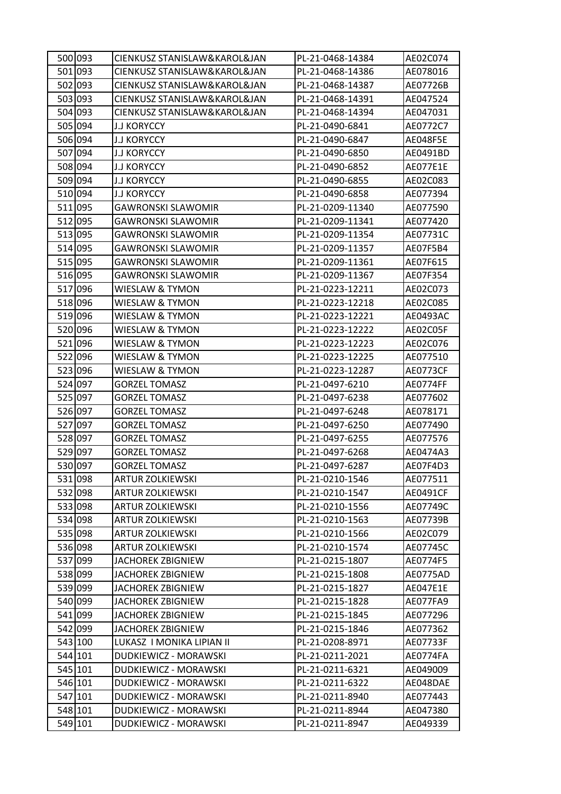| 500 093 | CIENKUSZ STANISLAW&KAROL&JAN | PL-21-0468-14384 | AE02C074 |
|---------|------------------------------|------------------|----------|
| 501 093 | CIENKUSZ STANISLAW&KAROL&JAN | PL-21-0468-14386 | AE078016 |
| 502 093 | CIENKUSZ STANISLAW&KAROL&JAN | PL-21-0468-14387 | AE07726B |
| 503 093 | CIENKUSZ STANISLAW&KAROL&JAN | PL-21-0468-14391 | AE047524 |
| 504 093 | CIENKUSZ STANISLAW&KAROL&JAN | PL-21-0468-14394 | AE047031 |
| 505 094 | <b>J.J KORYCCY</b>           | PL-21-0490-6841  | AE0772C7 |
| 506 094 | <b>J.J KORYCCY</b>           | PL-21-0490-6847  | AE048F5E |
| 507 094 | <b>J.J KORYCCY</b>           | PL-21-0490-6850  | AE0491BD |
| 508 094 | <b>J.J KORYCCY</b>           | PL-21-0490-6852  | AE077E1E |
| 509 094 | <b>J.J KORYCCY</b>           | PL-21-0490-6855  | AE02C083 |
| 510 094 | <b>J.J KORYCCY</b>           | PL-21-0490-6858  | AE077394 |
| 511 095 | <b>GAWRONSKI SLAWOMIR</b>    | PL-21-0209-11340 | AE077590 |
| 512 095 | <b>GAWRONSKI SLAWOMIR</b>    | PL-21-0209-11341 | AE077420 |
| 513 095 | <b>GAWRONSKI SLAWOMIR</b>    | PL-21-0209-11354 | AE07731C |
| 514 095 | <b>GAWRONSKI SLAWOMIR</b>    | PL-21-0209-11357 | AE07F5B4 |
| 515 095 | <b>GAWRONSKI SLAWOMIR</b>    | PL-21-0209-11361 | AE07F615 |
| 516 095 | <b>GAWRONSKI SLAWOMIR</b>    | PL-21-0209-11367 | AE07F354 |
| 517 096 | <b>WIESLAW &amp; TYMON</b>   | PL-21-0223-12211 | AE02C073 |
| 518 096 | WIESLAW & TYMON              | PL-21-0223-12218 | AE02C085 |
| 519 096 | <b>WIESLAW &amp; TYMON</b>   | PL-21-0223-12221 | AE0493AC |
| 520 096 | WIESLAW & TYMON              | PL-21-0223-12222 | AE02C05F |
| 521 096 | <b>WIESLAW &amp; TYMON</b>   | PL-21-0223-12223 | AE02C076 |
| 522 096 | <b>WIESLAW &amp; TYMON</b>   | PL-21-0223-12225 | AE077510 |
| 523 096 | WIESLAW & TYMON              | PL-21-0223-12287 | AE0773CF |
| 524 097 | <b>GORZEL TOMASZ</b>         | PL-21-0497-6210  | AE0774FF |
| 525 097 | <b>GORZEL TOMASZ</b>         | PL-21-0497-6238  | AE077602 |
| 526 097 | <b>GORZEL TOMASZ</b>         | PL-21-0497-6248  | AE078171 |
| 527 097 | <b>GORZEL TOMASZ</b>         | PL-21-0497-6250  | AE077490 |
| 528 097 | <b>GORZEL TOMASZ</b>         | PL-21-0497-6255  | AE077576 |
| 529 097 | <b>GORZEL TOMASZ</b>         | PL-21-0497-6268  | AE0474A3 |
| 530 097 | <b>GORZEL TOMASZ</b>         | PL-21-0497-6287  | AE07F4D3 |
| 531 098 | <b>ARTUR ZOLKIEWSKI</b>      | PL-21-0210-1546  | AE077511 |
| 532 098 | <b>ARTUR ZOLKIEWSKI</b>      | PL-21-0210-1547  | AE0491CF |
| 533 098 | <b>ARTUR ZOLKIEWSKI</b>      | PL-21-0210-1556  | AE07749C |
| 534 098 | <b>ARTUR ZOLKIEWSKI</b>      | PL-21-0210-1563  | AE07739B |
| 535 098 | <b>ARTUR ZOLKIEWSKI</b>      | PL-21-0210-1566  | AE02C079 |
| 536 098 | <b>ARTUR ZOLKIEWSKI</b>      | PL-21-0210-1574  | AE07745C |
| 537 099 | <b>JACHOREK ZBIGNIEW</b>     | PL-21-0215-1807  | AE0774F5 |
| 538 099 | <b>JACHOREK ZBIGNIEW</b>     | PL-21-0215-1808  | AE0775AD |
| 539 099 | <b>JACHOREK ZBIGNIEW</b>     | PL-21-0215-1827  | AE047E1E |
| 540 099 | <b>JACHOREK ZBIGNIEW</b>     | PL-21-0215-1828  | AE077FA9 |
| 541 099 | <b>JACHOREK ZBIGNIEW</b>     | PL-21-0215-1845  | AE077296 |
| 542 099 | JACHOREK ZBIGNIEW            | PL-21-0215-1846  | AE077362 |
| 543 100 | LUKASZ I MONIKA LIPIAN II    | PL-21-0208-8971  | AE07733F |
| 544 101 | DUDKIEWICZ - MORAWSKI        | PL-21-0211-2021  | AE0774FA |
| 545 101 | DUDKIEWICZ - MORAWSKI        | PL-21-0211-6321  | AE049009 |
| 546 101 | DUDKIEWICZ - MORAWSKI        | PL-21-0211-6322  | AE048DAE |
| 547 101 | DUDKIEWICZ - MORAWSKI        | PL-21-0211-8940  | AE077443 |
| 548 101 | DUDKIEWICZ - MORAWSKI        | PL-21-0211-8944  | AE047380 |
| 549 101 | DUDKIEWICZ - MORAWSKI        | PL-21-0211-8947  | AE049339 |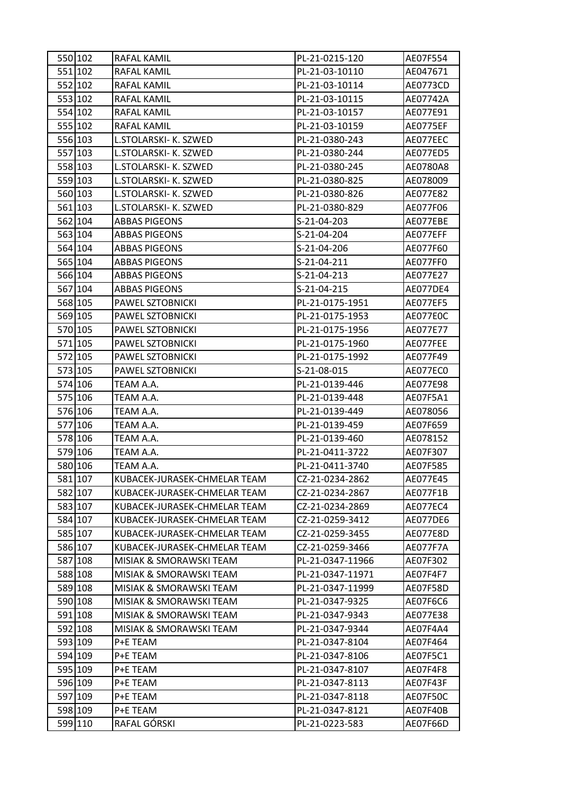| 550 102 | RAFAL KAMIL                  | PL-21-0215-120   | AE07F554 |
|---------|------------------------------|------------------|----------|
| 551 102 | RAFAL KAMIL                  | PL-21-03-10110   | AE047671 |
| 552 102 | RAFAL KAMIL                  | PL-21-03-10114   | AE0773CD |
| 553 102 | RAFAL KAMIL                  | PL-21-03-10115   | AE07742A |
| 554 102 | RAFAL KAMIL                  | PL-21-03-10157   | AE077E91 |
| 555 102 | RAFAL KAMIL                  | PL-21-03-10159   | AE0775EF |
| 556 103 | L.STOLARSKI- K. SZWED        | PL-21-0380-243   | AE077EEC |
| 557 103 | L.STOLARSKI- K. SZWED        | PL-21-0380-244   | AE077ED5 |
| 558 103 | L.STOLARSKI- K. SZWED        | PL-21-0380-245   | AE0780A8 |
| 559 103 | L.STOLARSKI- K. SZWED        | PL-21-0380-825   | AE078009 |
| 560 103 | L.STOLARSKI- K. SZWED        | PL-21-0380-826   | AE077E82 |
| 561 103 | L.STOLARSKI- K. SZWED        | PL-21-0380-829   | AE077F06 |
| 562 104 | <b>ABBAS PIGEONS</b>         | S-21-04-203      | AE077EBE |
| 563 104 | <b>ABBAS PIGEONS</b>         | S-21-04-204      | AE077EFF |
| 564 104 | <b>ABBAS PIGEONS</b>         | S-21-04-206      | AE077F60 |
| 565 104 | <b>ABBAS PIGEONS</b>         | S-21-04-211      | AE077FF0 |
| 566 104 | <b>ABBAS PIGEONS</b>         | S-21-04-213      | AE077E27 |
| 567 104 | <b>ABBAS PIGEONS</b>         | S-21-04-215      | AE077DE4 |
| 568 105 | PAWEL SZTOBNICKI             | PL-21-0175-1951  | AE077EF5 |
| 569 105 | PAWEL SZTOBNICKI             | PL-21-0175-1953  | AE077E0C |
| 570 105 | PAWEL SZTOBNICKI             | PL-21-0175-1956  | AE077E77 |
| 571 105 | PAWEL SZTOBNICKI             | PL-21-0175-1960  | AE077FEE |
| 572 105 | PAWEL SZTOBNICKI             | PL-21-0175-1992  | AE077F49 |
| 573 105 | PAWEL SZTOBNICKI             | S-21-08-015      | AE077EC0 |
| 574 106 | TEAM A.A.                    | PL-21-0139-446   | AE077E98 |
| 575 106 | TEAM A.A.                    | PL-21-0139-448   | AE07F5A1 |
| 576 106 | TEAM A.A.                    | PL-21-0139-449   | AE078056 |
| 577 106 | TEAM A.A.                    | PL-21-0139-459   | AE07F659 |
| 578 106 | TEAM A.A.                    | PL-21-0139-460   | AE078152 |
| 579 106 | TEAM A.A.                    | PL-21-0411-3722  | AE07F307 |
| 580 106 | TEAM A.A.                    | PL-21-0411-3740  | AE07F585 |
| 581 107 | KUBACEK-JURASEK-CHMELAR TEAM | CZ-21-0234-2862  | AE077E45 |
| 582 107 | KUBACEK-JURASEK-CHMELAR TEAM | CZ-21-0234-2867  | AE077F1B |
| 583 107 | KUBACEK-JURASEK-CHMELAR TEAM | CZ-21-0234-2869  | AE077EC4 |
| 584 107 | KUBACEK-JURASEK-CHMELAR TEAM | CZ-21-0259-3412  | AE077DE6 |
| 585 107 | KUBACEK-JURASEK-CHMELAR TEAM | CZ-21-0259-3455  | AE077E8D |
| 586 107 | KUBACEK-JURASEK-CHMELAR TEAM | CZ-21-0259-3466  | AE077F7A |
| 587 108 | MISIAK & SMORAWSKI TEAM      | PL-21-0347-11966 | AE07F302 |
| 588 108 | MISIAK & SMORAWSKI TEAM      | PL-21-0347-11971 | AE07F4F7 |
| 589 108 | MISIAK & SMORAWSKI TEAM      | PL-21-0347-11999 | AE07F58D |
| 590 108 | MISIAK & SMORAWSKI TEAM      | PL-21-0347-9325  | AE07F6C6 |
| 591 108 | MISIAK & SMORAWSKI TEAM      | PL-21-0347-9343  | AE077E38 |
| 592 108 | MISIAK & SMORAWSKI TEAM      | PL-21-0347-9344  | AE07F4A4 |
| 593 109 | P+E TEAM                     | PL-21-0347-8104  | AE07F464 |
| 594 109 | P+E TEAM                     | PL-21-0347-8106  | AE07F5C1 |
| 595 109 | P+E TEAM                     | PL-21-0347-8107  | AE07F4F8 |
| 596 109 | P+E TEAM                     | PL-21-0347-8113  | AE07F43F |
| 597 109 | P+E TEAM                     | PL-21-0347-8118  | AE07F50C |
| 598 109 | P+E TEAM                     | PL-21-0347-8121  | AE07F40B |
| 599 110 | RAFAL GÓRSKI                 | PL-21-0223-583   | AE07F66D |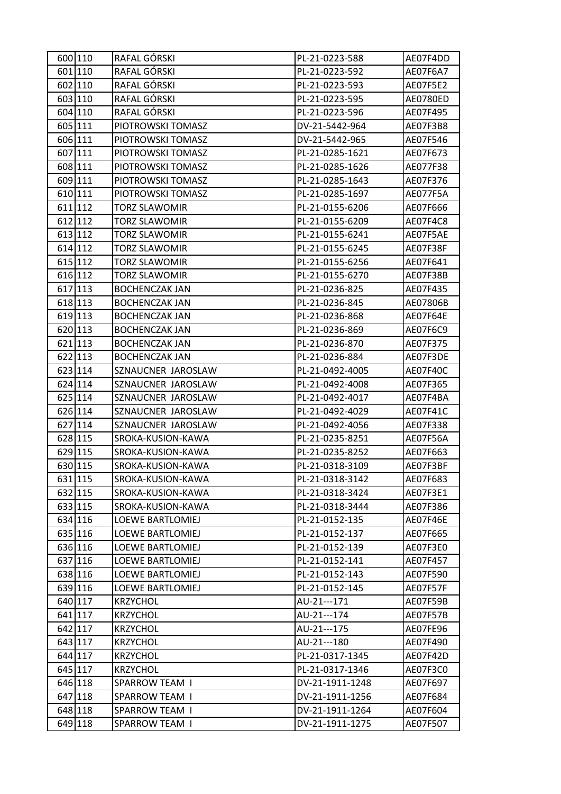| 600 110 | RAFAL GÓRSKI            | PL-21-0223-588  | AE07F4DD |
|---------|-------------------------|-----------------|----------|
| 601 110 | RAFAL GÓRSKI            | PL-21-0223-592  | AE07F6A7 |
| 602 110 | RAFAL GÓRSKI            | PL-21-0223-593  | AE07F5E2 |
| 603 110 | RAFAL GÓRSKI            | PL-21-0223-595  | AE0780ED |
| 604 110 | RAFAL GÓRSKI            | PL-21-0223-596  | AE07F495 |
| 605 111 | PIOTROWSKI TOMASZ       | DV-21-5442-964  | AE07F3B8 |
| 606 111 | PIOTROWSKI TOMASZ       | DV-21-5442-965  | AE07F546 |
| 607 111 | PIOTROWSKI TOMASZ       | PL-21-0285-1621 | AE07F673 |
| 608 111 | PIOTROWSKI TOMASZ       | PL-21-0285-1626 | AE077F38 |
| 609 111 | PIOTROWSKI TOMASZ       | PL-21-0285-1643 | AE07F376 |
| 610 111 | PIOTROWSKI TOMASZ       | PL-21-0285-1697 | AE077F5A |
| 611 112 | <b>TORZ SLAWOMIR</b>    | PL-21-0155-6206 | AE07F666 |
| 612 112 | <b>TORZ SLAWOMIR</b>    | PL-21-0155-6209 | AE07F4C8 |
| 613 112 | <b>TORZ SLAWOMIR</b>    | PL-21-0155-6241 | AE07F5AE |
| 614 112 | <b>TORZ SLAWOMIR</b>    | PL-21-0155-6245 | AE07F38F |
| 615 112 | <b>TORZ SLAWOMIR</b>    | PL-21-0155-6256 | AE07F641 |
| 616 112 | <b>TORZ SLAWOMIR</b>    | PL-21-0155-6270 | AE07F38B |
| 617 113 | <b>BOCHENCZAK JAN</b>   | PL-21-0236-825  | AE07F435 |
| 618 113 | <b>BOCHENCZAK JAN</b>   | PL-21-0236-845  | AE07806B |
| 619 113 | <b>BOCHENCZAK JAN</b>   | PL-21-0236-868  | AE07F64E |
| 620 113 | <b>BOCHENCZAK JAN</b>   | PL-21-0236-869  | AE07F6C9 |
| 621 113 | <b>BOCHENCZAK JAN</b>   | PL-21-0236-870  | AE07F375 |
| 622 113 | <b>BOCHENCZAK JAN</b>   | PL-21-0236-884  | AE07F3DE |
| 623 114 | SZNAUCNER JAROSLAW      | PL-21-0492-4005 | AE07F40C |
| 624 114 | SZNAUCNER JAROSLAW      | PL-21-0492-4008 | AE07F365 |
| 625 114 | SZNAUCNER JAROSLAW      | PL-21-0492-4017 | AE07F4BA |
| 626 114 | SZNAUCNER JAROSLAW      | PL-21-0492-4029 | AE07F41C |
| 627 114 | SZNAUCNER JAROSLAW      | PL-21-0492-4056 | AE07F338 |
| 628 115 | SROKA-KUSION-KAWA       | PL-21-0235-8251 | AE07F56A |
| 629 115 | SROKA-KUSION-KAWA       | PL-21-0235-8252 | AE07F663 |
| 630 115 | SROKA-KUSION-KAWA       | PL-21-0318-3109 | AE07F3BF |
| 631 115 | SROKA-KUSION-KAWA       | PL-21-0318-3142 | AE07F683 |
| 632 115 | SROKA-KUSION-KAWA       | PL-21-0318-3424 | AE07F3E1 |
| 633 115 | SROKA-KUSION-KAWA       | PL-21-0318-3444 | AE07F386 |
| 634 116 | LOEWE BARTLOMIEJ        | PL-21-0152-135  | AE07F46E |
| 635 116 | LOEWE BARTLOMIEJ        | PL-21-0152-137  | AE07F665 |
| 636 116 | <b>LOEWE BARTLOMIEJ</b> | PL-21-0152-139  | AE07F3E0 |
| 637 116 | LOEWE BARTLOMIEJ        | PL-21-0152-141  | AE07F457 |
| 638 116 | <b>LOEWE BARTLOMIEJ</b> | PL-21-0152-143  | AE07F590 |
| 639 116 | LOEWE BARTLOMIEJ        | PL-21-0152-145  | AE07F57F |
| 640 117 | <b>KRZYCHOL</b>         | AU-21---171     | AE07F59B |
| 641 117 | <b>KRZYCHOL</b>         | AU-21---174     | AE07F57B |
| 642 117 | <b>KRZYCHOL</b>         | AU-21---175     | AE07FE96 |
| 643 117 | <b>KRZYCHOL</b>         | AU-21---180     | AE07F490 |
| 644 117 | <b>KRZYCHOL</b>         | PL-21-0317-1345 | AE07F42D |
| 645 117 | <b>KRZYCHOL</b>         | PL-21-0317-1346 | AE07F3C0 |
| 646 118 | <b>SPARROW TEAM I</b>   | DV-21-1911-1248 | AE07F697 |
| 647 118 | SPARROW TEAM I          | DV-21-1911-1256 | AE07F684 |
| 648 118 | SPARROW TEAM I          | DV-21-1911-1264 | AE07F604 |
| 649 118 | <b>SPARROW TEAM I</b>   | DV-21-1911-1275 | AE07F507 |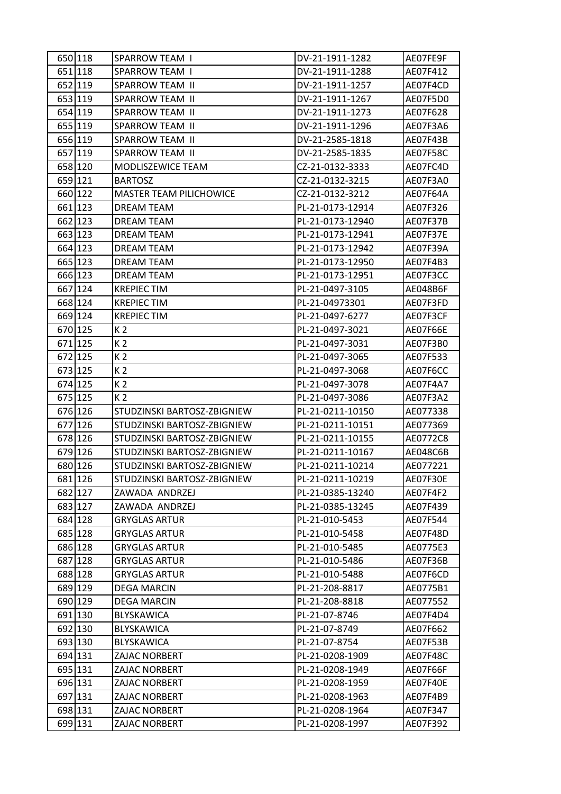| 650 118 | <b>SPARROW TEAM I</b>          | DV-21-1911-1282  | AE07FE9F |
|---------|--------------------------------|------------------|----------|
| 651 118 | <b>SPARROW TEAM I</b>          | DV-21-1911-1288  | AE07F412 |
| 652 119 | SPARROW TEAM II                | DV-21-1911-1257  | AE07F4CD |
| 653 119 | <b>SPARROW TEAM II</b>         | DV-21-1911-1267  | AE07F5D0 |
| 654 119 | <b>SPARROW TEAM II</b>         | DV-21-1911-1273  | AE07F628 |
| 655 119 | SPARROW TEAM II                | DV-21-1911-1296  | AE07F3A6 |
| 656 119 | <b>SPARROW TEAM II</b>         | DV-21-2585-1818  | AE07F43B |
| 657 119 | SPARROW TEAM II                | DV-21-2585-1835  | AE07F58C |
| 658 120 | MODLISZEWICE TEAM              | CZ-21-0132-3333  | AE07FC4D |
| 659 121 | <b>BARTOSZ</b>                 | CZ-21-0132-3215  | AE07F3A0 |
| 660 122 | <b>MASTER TEAM PILICHOWICE</b> | CZ-21-0132-3212  | AE07F64A |
| 661 123 | DREAM TEAM                     | PL-21-0173-12914 | AE07F326 |
| 662 123 | DREAM TEAM                     | PL-21-0173-12940 | AE07F37B |
| 663 123 | <b>DREAM TEAM</b>              | PL-21-0173-12941 | AE07F37E |
| 664 123 | <b>DREAM TEAM</b>              | PL-21-0173-12942 | AE07F39A |
| 665 123 | DREAM TEAM                     | PL-21-0173-12950 | AE07F4B3 |
| 666 123 | <b>DREAM TEAM</b>              | PL-21-0173-12951 | AE07F3CC |
| 667 124 | <b>KREPIECTIM</b>              | PL-21-0497-3105  | AE048B6F |
| 668 124 | <b>KREPIEC TIM</b>             | PL-21-04973301   | AE07F3FD |
| 669 124 | <b>KREPIEC TIM</b>             | PL-21-0497-6277  | AE07F3CF |
| 670 125 | K <sub>2</sub>                 | PL-21-0497-3021  | AE07F66E |
| 671 125 | K <sub>2</sub>                 | PL-21-0497-3031  | AE07F3B0 |
| 672 125 | K <sub>2</sub>                 | PL-21-0497-3065  | AE07F533 |
| 673 125 | K <sub>2</sub>                 | PL-21-0497-3068  | AE07F6CC |
| 674 125 | K <sub>2</sub>                 | PL-21-0497-3078  | AE07F4A7 |
| 675 125 | K <sub>2</sub>                 | PL-21-0497-3086  | AE07F3A2 |
| 676 126 | STUDZINSKI BARTOSZ-ZBIGNIEW    | PL-21-0211-10150 | AE077338 |
| 677 126 | STUDZINSKI BARTOSZ-ZBIGNIEW    | PL-21-0211-10151 | AE077369 |
| 678 126 | STUDZINSKI BARTOSZ-ZBIGNIEW    | PL-21-0211-10155 | AE0772C8 |
| 679 126 | STUDZINSKI BARTOSZ-ZBIGNIEW    | PL-21-0211-10167 | AE048C6B |
| 680 126 | STUDZINSKI BARTOSZ-ZBIGNIEW    | PL-21-0211-10214 | AE077221 |
| 681 126 | STUDZINSKI BARTOSZ-ZBIGNIEW    | PL-21-0211-10219 | AE07F30E |
| 682 127 | ZAWADA ANDRZEJ                 | PL-21-0385-13240 | AE07F4F2 |
| 683 127 | ZAWADA ANDRZEJ                 | PL-21-0385-13245 | AE07F439 |
| 684 128 | <b>GRYGLAS ARTUR</b>           | PL-21-010-5453   | AE07F544 |
| 685 128 | <b>GRYGLAS ARTUR</b>           | PL-21-010-5458   | AE07F48D |
| 686 128 | <b>GRYGLAS ARTUR</b>           | PL-21-010-5485   | AE0775E3 |
| 687 128 | <b>GRYGLAS ARTUR</b>           | PL-21-010-5486   | AE07F36B |
| 688 128 | <b>GRYGLAS ARTUR</b>           | PL-21-010-5488   | AE07F6CD |
| 689 129 | <b>DEGA MARCIN</b>             | PL-21-208-8817   | AE0775B1 |
| 690 129 | <b>DEGA MARCIN</b>             | PL-21-208-8818   | AE077552 |
| 691 130 | BLYSKAWICA                     | PL-21-07-8746    | AE07F4D4 |
| 692 130 | BLYSKAWICA                     | PL-21-07-8749    | AE07F662 |
| 693 130 | BLYSKAWICA                     | PL-21-07-8754    | AE07F53B |
| 694 131 | ZAJAC NORBERT                  | PL-21-0208-1909  | AE07F48C |
| 695 131 | ZAJAC NORBERT                  | PL-21-0208-1949  | AE07F66F |
| 696 131 | ZAJAC NORBERT                  | PL-21-0208-1959  | AE07F40E |
| 697 131 | <b>ZAJAC NORBERT</b>           | PL-21-0208-1963  | AE07F4B9 |
| 698 131 | ZAJAC NORBERT                  | PL-21-0208-1964  | AE07F347 |
| 699 131 | ZAJAC NORBERT                  | PL-21-0208-1997  | AE07F392 |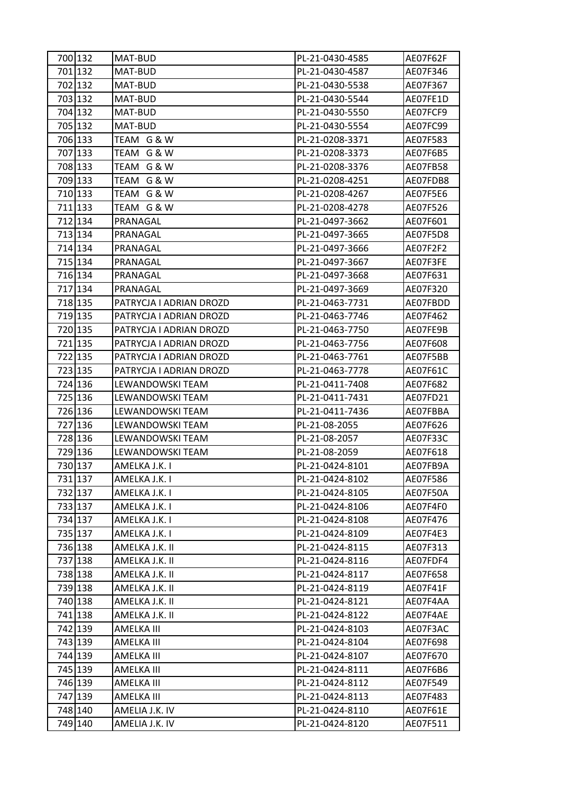| 700 132 | MAT-BUD                 | PL-21-0430-4585 | AE07F62F |
|---------|-------------------------|-----------------|----------|
| 701 132 | MAT-BUD                 | PL-21-0430-4587 | AE07F346 |
| 702 132 | MAT-BUD                 | PL-21-0430-5538 | AE07F367 |
| 703 132 | MAT-BUD                 | PL-21-0430-5544 | AE07FE1D |
| 704 132 | MAT-BUD                 | PL-21-0430-5550 | AE07FCF9 |
| 705 132 | MAT-BUD                 | PL-21-0430-5554 | AE07FC99 |
| 706 133 | TEAM G & W              | PL-21-0208-3371 | AE07F583 |
| 707 133 | TEAM G & W              | PL-21-0208-3373 | AE07F6B5 |
| 708 133 | TEAM G & W              | PL-21-0208-3376 | AE07FB58 |
| 709 133 | TEAM G & W              | PL-21-0208-4251 | AE07FDB8 |
| 710 133 | TEAM G & W              | PL-21-0208-4267 | AE07F5E6 |
| 711 133 | TEAM G & W              | PL-21-0208-4278 | AE07F526 |
| 712 134 | PRANAGAL                | PL-21-0497-3662 | AE07F601 |
| 713 134 | PRANAGAL                | PL-21-0497-3665 | AE07F5D8 |
| 714 134 | PRANAGAL                | PL-21-0497-3666 | AE07F2F2 |
| 715 134 | PRANAGAL                | PL-21-0497-3667 | AE07F3FE |
| 716 134 | PRANAGAL                | PL-21-0497-3668 | AE07F631 |
| 717 134 | PRANAGAL                | PL-21-0497-3669 | AE07F320 |
| 718 135 | PATRYCJA I ADRIAN DROZD | PL-21-0463-7731 | AE07FBDD |
| 719 135 | PATRYCJA I ADRIAN DROZD | PL-21-0463-7746 | AE07F462 |
| 720 135 | PATRYCJA I ADRIAN DROZD | PL-21-0463-7750 | AE07FE9B |
| 721 135 | PATRYCJA I ADRIAN DROZD | PL-21-0463-7756 | AE07F608 |
| 722 135 | PATRYCJA I ADRIAN DROZD | PL-21-0463-7761 | AE07F5BB |
| 723 135 | PATRYCJA I ADRIAN DROZD | PL-21-0463-7778 | AE07F61C |
| 724 136 | LEWANDOWSKI TEAM        | PL-21-0411-7408 | AE07F682 |
| 725 136 | LEWANDOWSKI TEAM        | PL-21-0411-7431 | AE07FD21 |
| 726 136 | LEWANDOWSKI TEAM        | PL-21-0411-7436 | AE07FBBA |
| 727 136 | LEWANDOWSKI TEAM        | PL-21-08-2055   | AE07F626 |
| 728 136 | LEWANDOWSKI TEAM        | PL-21-08-2057   | AE07F33C |
| 729 136 | LEWANDOWSKI TEAM        | PL-21-08-2059   | AE07F618 |
| 730 137 | AMELKA J.K. I           | PL-21-0424-8101 | AE07FB9A |
| 731 137 | AMELKA J.K. I           | PL-21-0424-8102 | AE07F586 |
| 732 137 | AMELKA J.K. I           | PL-21-0424-8105 | AE07F50A |
| 733 137 | AMELKA J.K. I           | PL-21-0424-8106 | AE07F4F0 |
| 734 137 | AMELKA J.K. I           | PL-21-0424-8108 | AE07F476 |
| 735 137 | AMELKA J.K. I           | PL-21-0424-8109 | AE07F4E3 |
| 736 138 | AMELKA J.K. II          | PL-21-0424-8115 | AE07F313 |
| 737 138 | AMELKA J.K. II          | PL-21-0424-8116 | AE07FDF4 |
| 738 138 | AMELKA J.K. II          | PL-21-0424-8117 | AE07F658 |
| 739 138 | AMELKA J.K. II          | PL-21-0424-8119 | AE07F41F |
| 740 138 | AMELKA J.K. II          | PL-21-0424-8121 | AE07F4AA |
| 741 138 | AMELKA J.K. II          | PL-21-0424-8122 | AE07F4AE |
| 742 139 | AMELKA III              | PL-21-0424-8103 | AE07F3AC |
| 743 139 | AMELKA III              | PL-21-0424-8104 | AE07F698 |
| 744 139 | AMELKA III              | PL-21-0424-8107 | AE07F670 |
| 745 139 | AMELKA III              | PL-21-0424-8111 | AE07F6B6 |
| 746 139 | AMELKA III              | PL-21-0424-8112 | AE07F549 |
| 747 139 | AMELKA III              | PL-21-0424-8113 | AE07F483 |
| 748 140 | AMELIA J.K. IV          | PL-21-0424-8110 | AE07F61E |
| 749 140 | AMELIA J.K. IV          | PL-21-0424-8120 | AE07F511 |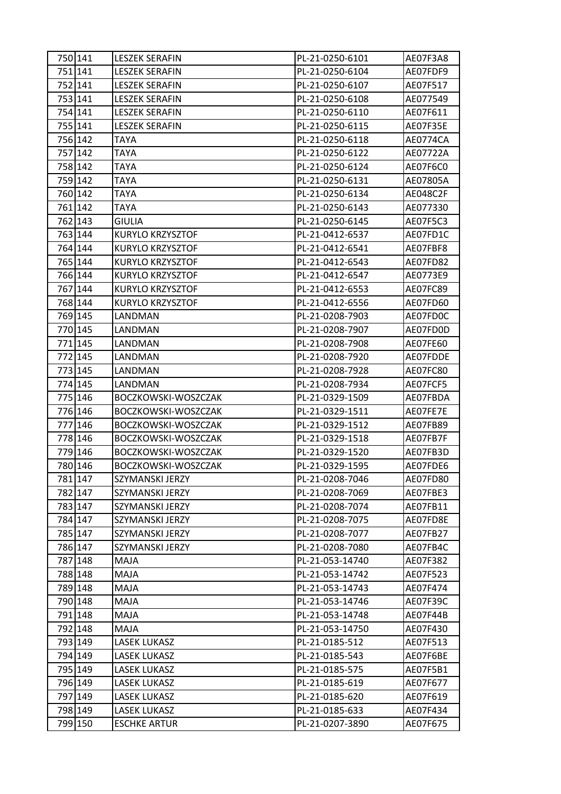| 750 141 | <b>LESZEK SERAFIN</b> | PL-21-0250-6101 | AE07F3A8 |
|---------|-----------------------|-----------------|----------|
| 751 141 | <b>LESZEK SERAFIN</b> | PL-21-0250-6104 | AE07FDF9 |
| 752 141 | <b>LESZEK SERAFIN</b> | PL-21-0250-6107 | AE07F517 |
| 753 141 | <b>LESZEK SERAFIN</b> | PL-21-0250-6108 | AE077549 |
| 754 141 | <b>LESZEK SERAFIN</b> | PL-21-0250-6110 | AE07F611 |
| 755 141 | <b>LESZEK SERAFIN</b> | PL-21-0250-6115 | AE07F35E |
| 756 142 | TAYA                  | PL-21-0250-6118 | AE0774CA |
| 757 142 | TAYA                  | PL-21-0250-6122 | AE07722A |
| 758 142 | <b>TAYA</b>           | PL-21-0250-6124 | AE07F6C0 |
| 759 142 | <b>TAYA</b>           | PL-21-0250-6131 | AE07805A |
| 760 142 | <b>TAYA</b>           | PL-21-0250-6134 | AE048C2F |
| 761 142 | <b>TAYA</b>           | PL-21-0250-6143 | AE077330 |
| 762 143 | <b>GIULIA</b>         | PL-21-0250-6145 | AE07F5C3 |
| 763 144 | KURYLO KRZYSZTOF      | PL-21-0412-6537 | AE07FD1C |
| 764 144 | KURYLO KRZYSZTOF      | PL-21-0412-6541 | AE07FBF8 |
| 765 144 | KURYLO KRZYSZTOF      | PL-21-0412-6543 | AE07FD82 |
| 766 144 | KURYLO KRZYSZTOF      | PL-21-0412-6547 | AE0773E9 |
| 767 144 | KURYLO KRZYSZTOF      | PL-21-0412-6553 | AE07FC89 |
| 768 144 | KURYLO KRZYSZTOF      | PL-21-0412-6556 | AE07FD60 |
| 769 145 | LANDMAN               | PL-21-0208-7903 | AE07FD0C |
| 770 145 | LANDMAN               | PL-21-0208-7907 | AE07FD0D |
| 771 145 | LANDMAN               | PL-21-0208-7908 | AE07FE60 |
| 772 145 | LANDMAN               | PL-21-0208-7920 | AE07FDDE |
| 773 145 | LANDMAN               | PL-21-0208-7928 | AE07FC80 |
| 774 145 | LANDMAN               | PL-21-0208-7934 | AE07FCF5 |
| 775 146 | BOCZKOWSKI-WOSZCZAK   | PL-21-0329-1509 | AE07FBDA |
| 776 146 | BOCZKOWSKI-WOSZCZAK   | PL-21-0329-1511 | AE07FE7E |
| 777 146 | BOCZKOWSKI-WOSZCZAK   | PL-21-0329-1512 | AE07FB89 |
| 778 146 | BOCZKOWSKI-WOSZCZAK   | PL-21-0329-1518 | AE07FB7F |
| 779 146 | BOCZKOWSKI-WOSZCZAK   | PL-21-0329-1520 | AE07FB3D |
| 7801146 | BOCZKOWSKI-WOSZCZAK   | PL-21-0329-1595 | AE07FDE6 |
| 781 147 | SZYMANSKI JERZY       | PL-21-0208-7046 | AE07FD80 |
| 782 147 | SZYMANSKI JERZY       | PL-21-0208-7069 | AE07FBE3 |
| 783 147 | SZYMANSKI JERZY       | PL-21-0208-7074 | AE07FB11 |
| 784 147 | SZYMANSKI JERZY       | PL-21-0208-7075 | AE07FD8E |
| 785 147 | SZYMANSKI JERZY       | PL-21-0208-7077 | AE07FB27 |
| 786 147 | SZYMANSKI JERZY       | PL-21-0208-7080 | AE07FB4C |
| 787 148 | MAJA                  | PL-21-053-14740 | AE07F382 |
| 788 148 | MAJA                  | PL-21-053-14742 | AE07F523 |
| 789 148 | MAJA                  | PL-21-053-14743 | AE07F474 |
| 790 148 | MAJA                  | PL-21-053-14746 | AE07F39C |
| 791 148 | MAJA                  | PL-21-053-14748 | AE07F44B |
| 792 148 | MAJA                  | PL-21-053-14750 | AE07F430 |
| 793 149 | <b>LASEK LUKASZ</b>   | PL-21-0185-512  | AE07F513 |
| 794 149 | <b>LASEK LUKASZ</b>   | PL-21-0185-543  | AE07F6BE |
| 795 149 | <b>LASEK LUKASZ</b>   | PL-21-0185-575  | AE07F5B1 |
| 796 149 | LASEK LUKASZ          | PL-21-0185-619  | AE07F677 |
| 797 149 | LASEK LUKASZ          | PL-21-0185-620  | AE07F619 |
| 798 149 | LASEK LUKASZ          | PL-21-0185-633  | AE07F434 |
| 799 150 | <b>ESCHKE ARTUR</b>   | PL-21-0207-3890 | AE07F675 |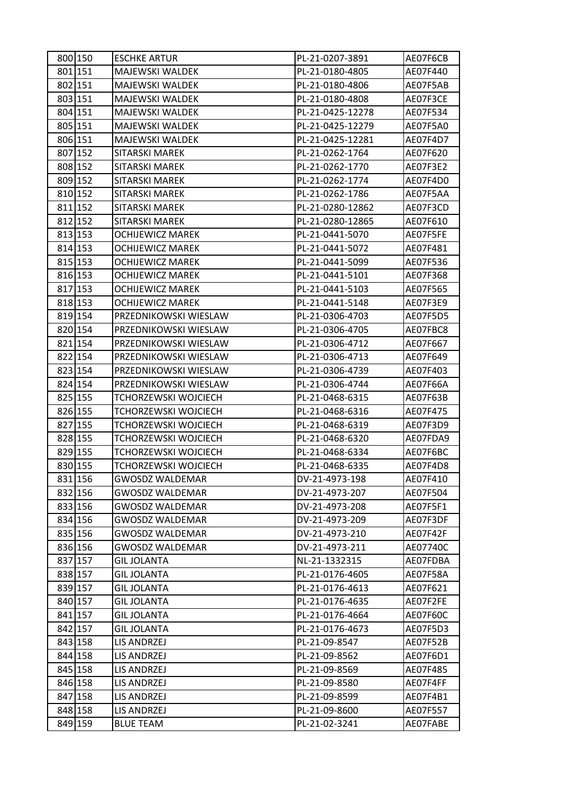| 800 150 | <b>ESCHKE ARTUR</b>         | PL-21-0207-3891  | AE07F6CB |
|---------|-----------------------------|------------------|----------|
| 801 151 | MAJEWSKI WALDEK             | PL-21-0180-4805  | AE07F440 |
| 802 151 | MAJEWSKI WALDEK             | PL-21-0180-4806  | AE07F5AB |
| 803 151 | MAJEWSKI WALDEK             | PL-21-0180-4808  | AE07F3CE |
| 804 151 | <b>MAJEWSKI WALDEK</b>      | PL-21-0425-12278 | AE07F534 |
| 805 151 | <b>MAJEWSKI WALDEK</b>      | PL-21-0425-12279 | AE07F5A0 |
| 806 151 | MAJEWSKI WALDEK             | PL-21-0425-12281 | AE07F4D7 |
| 807 152 | SITARSKI MAREK              | PL-21-0262-1764  | AE07F620 |
| 808 152 | <b>SITARSKI MAREK</b>       | PL-21-0262-1770  | AE07F3E2 |
| 809 152 | SITARSKI MAREK              | PL-21-0262-1774  | AE07F4D0 |
| 810 152 | SITARSKI MAREK              | PL-21-0262-1786  | AE07F5AA |
| 811 152 | SITARSKI MAREK              | PL-21-0280-12862 | AE07F3CD |
| 812 152 | SITARSKI MAREK              | PL-21-0280-12865 | AE07F610 |
| 813 153 | <b>OCHIJEWICZ MAREK</b>     | PL-21-0441-5070  | AE07F5FE |
| 814 153 | <b>OCHIJEWICZ MAREK</b>     | PL-21-0441-5072  | AE07F481 |
| 815 153 | <b>OCHIJEWICZ MAREK</b>     | PL-21-0441-5099  | AE07F536 |
| 816 153 | <b>OCHIJEWICZ MAREK</b>     | PL-21-0441-5101  | AE07F368 |
| 817 153 | <b>OCHIJEWICZ MAREK</b>     | PL-21-0441-5103  | AE07F565 |
| 818 153 | <b>OCHIJEWICZ MAREK</b>     | PL-21-0441-5148  | AE07F3E9 |
| 819 154 | PRZEDNIKOWSKI WIESLAW       | PL-21-0306-4703  | AE07F5D5 |
| 820 154 | PRZEDNIKOWSKI WIESLAW       | PL-21-0306-4705  | AE07FBC8 |
| 821 154 | PRZEDNIKOWSKI WIESLAW       | PL-21-0306-4712  | AE07F667 |
| 822 154 | PRZEDNIKOWSKI WIESLAW       | PL-21-0306-4713  | AE07F649 |
| 823 154 | PRZEDNIKOWSKI WIESLAW       | PL-21-0306-4739  | AE07F403 |
| 824 154 | PRZEDNIKOWSKI WIESLAW       | PL-21-0306-4744  | AE07F66A |
| 825 155 | TCHORZEWSKI WOJCIECH        | PL-21-0468-6315  | AE07F63B |
| 826 155 | <b>TCHORZEWSKI WOJCIECH</b> | PL-21-0468-6316  | AE07F475 |
| 827 155 | TCHORZEWSKI WOJCIECH        | PL-21-0468-6319  | AE07F3D9 |
| 828 155 | TCHORZEWSKI WOJCIECH        | PL-21-0468-6320  | AE07FDA9 |
| 829 155 | <b>TCHORZEWSKI WOJCIECH</b> | PL-21-0468-6334  | AE07F6BC |
| 830 155 | TCHORZEWSKI WOJCIECH        | PL-21-0468-6335  | AE07F4D8 |
| 831 156 | <b>GWOSDZ WALDEMAR</b>      | DV-21-4973-198   | AE07F410 |
| 832 156 | <b>GWOSDZ WALDEMAR</b>      | DV-21-4973-207   | AE07F504 |
| 833 156 | <b>GWOSDZ WALDEMAR</b>      | DV-21-4973-208   | AE07F5F1 |
| 834 156 | <b>GWOSDZ WALDEMAR</b>      | DV-21-4973-209   | AE07F3DF |
| 835 156 | <b>GWOSDZ WALDEMAR</b>      | DV-21-4973-210   | AE07F42F |
| 836 156 | <b>GWOSDZ WALDEMAR</b>      | DV-21-4973-211   | AE07740C |
| 837 157 | <b>GIL JOLANTA</b>          | NL-21-1332315    | AE07FDBA |
| 838 157 | <b>GIL JOLANTA</b>          | PL-21-0176-4605  | AE07F58A |
| 839 157 | <b>GIL JOLANTA</b>          | PL-21-0176-4613  | AE07F621 |
| 840 157 | <b>GIL JOLANTA</b>          | PL-21-0176-4635  | AE07F2FE |
| 841 157 | <b>GIL JOLANTA</b>          | PL-21-0176-4664  | AE07F60C |
| 842 157 | <b>GIL JOLANTA</b>          | PL-21-0176-4673  | AE07F5D3 |
| 843 158 | LIS ANDRZEJ                 | PL-21-09-8547    | AE07F52B |
| 844 158 | LIS ANDRZEJ                 | PL-21-09-8562    | AE07F6D1 |
| 845 158 | <b>LIS ANDRZEJ</b>          | PL-21-09-8569    | AE07F485 |
| 846 158 | LIS ANDRZEJ                 | PL-21-09-8580    | AE07F4FF |
| 847 158 | LIS ANDRZEJ                 | PL-21-09-8599    | AE07F4B1 |
| 848 158 | LIS ANDRZEJ                 | PL-21-09-8600    | AE07F557 |
| 849 159 | <b>BLUE TEAM</b>            | PL-21-02-3241    | AE07FABE |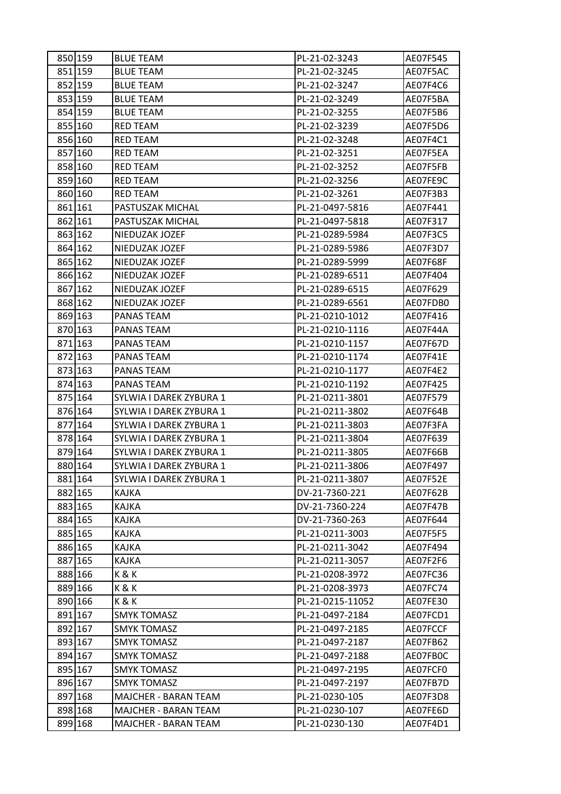| 850 159 | <b>BLUE TEAM</b>            | PL-21-02-3243    | AE07F545        |
|---------|-----------------------------|------------------|-----------------|
| 851 159 | <b>BLUE TEAM</b>            | PL-21-02-3245    | AE07F5AC        |
| 852 159 | <b>BLUE TEAM</b>            | PL-21-02-3247    | AE07F4C6        |
| 853 159 | <b>BLUE TEAM</b>            | PL-21-02-3249    | AE07F5BA        |
| 854 159 | <b>BLUE TEAM</b>            | PL-21-02-3255    | AE07F5B6        |
| 855 160 | RED TEAM                    | PL-21-02-3239    | AE07F5D6        |
| 856 160 | RED TEAM                    | PL-21-02-3248    | AE07F4C1        |
| 857 160 | <b>RED TEAM</b>             | PL-21-02-3251    | AE07F5EA        |
| 858 160 | <b>RED TEAM</b>             | PL-21-02-3252    | AE07F5FB        |
| 859 160 | RED TEAM                    | PL-21-02-3256    | AE07FE9C        |
| 860 160 | RED TEAM                    | PL-21-02-3261    | AE07F3B3        |
| 861 161 | PASTUSZAK MICHAL            | PL-21-0497-5816  | AE07F441        |
| 862 161 | PASTUSZAK MICHAL            | PL-21-0497-5818  | AE07F317        |
| 863 162 | NIEDUZAK JOZEF              | PL-21-0289-5984  | AE07F3C5        |
| 864 162 | NIEDUZAK JOZEF              | PL-21-0289-5986  | AE07F3D7        |
| 865 162 | NIEDUZAK JOZEF              | PL-21-0289-5999  | AE07F68F        |
| 866 162 | NIEDUZAK JOZEF              | PL-21-0289-6511  | AE07F404        |
| 867 162 | NIEDUZAK JOZEF              | PL-21-0289-6515  | AE07F629        |
| 868 162 | NIEDUZAK JOZEF              | PL-21-0289-6561  | AE07FDB0        |
| 869 163 | PANAS TEAM                  | PL-21-0210-1012  | AE07F416        |
| 870 163 | PANAS TEAM                  | PL-21-0210-1116  | AE07F44A        |
| 871 163 | PANAS TEAM                  | PL-21-0210-1157  | AE07F67D        |
| 872 163 | PANAS TEAM                  | PL-21-0210-1174  | AE07F41E        |
| 873 163 | PANAS TEAM                  | PL-21-0210-1177  | AE07F4E2        |
| 874 163 | PANAS TEAM                  | PL-21-0210-1192  | AE07F425        |
| 875 164 | SYLWIA I DAREK ZYBURA 1     | PL-21-0211-3801  | AE07F579        |
| 876 164 | SYLWIA I DAREK ZYBURA 1     | PL-21-0211-3802  | AE07F64B        |
| 877 164 | SYLWIA I DAREK ZYBURA 1     | PL-21-0211-3803  | AE07F3FA        |
| 878 164 | SYLWIA I DAREK ZYBURA 1     | PL-21-0211-3804  | AE07F639        |
| 879 164 | SYLWIA I DAREK ZYBURA 1     | PL-21-0211-3805  | AE07F66B        |
| 880 164 | SYLWIA I DAREK ZYBURA 1     | PL-21-0211-3806  | AE07F497        |
| 881 164 | SYLWIA I DAREK ZYBURA 1     | PL-21-0211-3807  | <b>AE07F52E</b> |
| 882 165 | <b>KAJKA</b>                | DV-21-7360-221   | AE07F62B        |
| 883 165 | KAJKA                       | DV-21-7360-224   | AE07F47B        |
| 884 165 | KAJKA                       | DV-21-7360-263   | AE07F644        |
| 885 165 | KAJKA                       | PL-21-0211-3003  | AE07F5F5        |
| 886 165 | <b>KAJKA</b>                | PL-21-0211-3042  | AE07F494        |
| 887 165 | KAJKA                       | PL-21-0211-3057  | AE07F2F6        |
| 888 166 | K&K                         | PL-21-0208-3972  | AE07FC36        |
| 889 166 | K&K                         | PL-21-0208-3973  | AE07FC74        |
| 890 166 | K&K                         | PL-21-0215-11052 | AE07FE30        |
| 891 167 | <b>SMYK TOMASZ</b>          | PL-21-0497-2184  | AE07FCD1        |
| 892 167 | <b>SMYK TOMASZ</b>          | PL-21-0497-2185  | AE07FCCF        |
| 893 167 | <b>SMYK TOMASZ</b>          | PL-21-0497-2187  | AE07FB62        |
| 894 167 | <b>SMYK TOMASZ</b>          | PL-21-0497-2188  | AE07FB0C        |
| 895 167 | <b>SMYK TOMASZ</b>          | PL-21-0497-2195  | AE07FCF0        |
| 896 167 | <b>SMYK TOMASZ</b>          | PL-21-0497-2197  | AE07FB7D        |
| 897 168 | <b>MAJCHER - BARAN TEAM</b> | PL-21-0230-105   | AE07F3D8        |
| 898 168 | MAJCHER - BARAN TEAM        | PL-21-0230-107   | AE07FE6D        |
| 899 168 | MAJCHER - BARAN TEAM        | PL-21-0230-130   | AE07F4D1        |